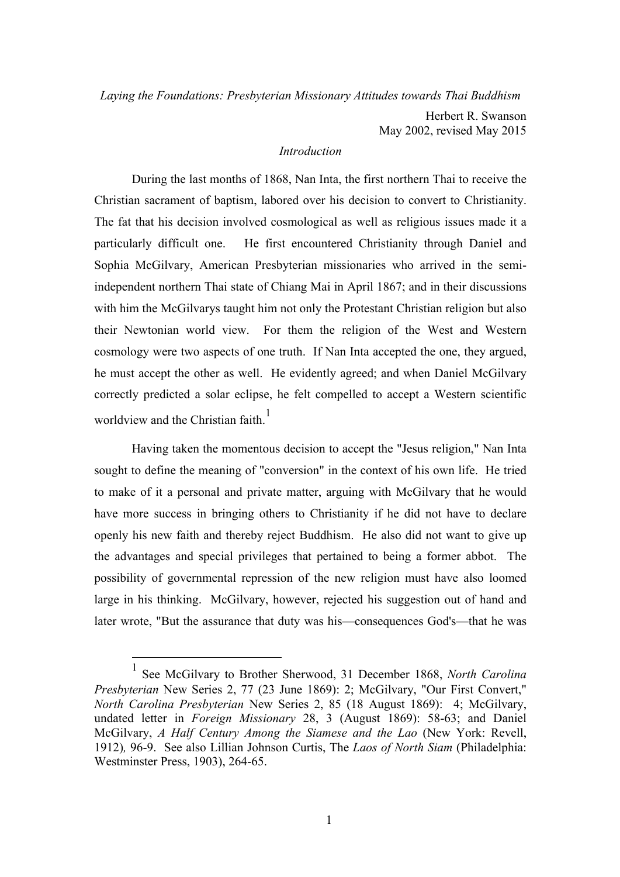*Laying the Foundations: Presbyterian Missionary Attitudes towards Thai Buddhism*

Herbert R. Swanson May 2002, revised May 2015

#### *Introduction*

During the last months of 1868, Nan Inta, the first northern Thai to receive the Christian sacrament of baptism, labored over his decision to convert to Christianity. The fat that his decision involved cosmological as well as religious issues made it a particularly difficult one. He first encountered Christianity through Daniel and Sophia McGilvary, American Presbyterian missionaries who arrived in the semiindependent northern Thai state of Chiang Mai in April 1867; and in their discussions with him the McGilvarys taught him not only the Protestant Christian religion but also their Newtonian world view. For them the religion of the West and Western cosmology were two aspects of one truth. If Nan Inta accepted the one, they argued, he must accept the other as well. He evidently agreed; and when Daniel McGilvary correctly predicted a solar eclipse, he felt compelled to accept a Western scientific worldview and the Christian faith.<sup>1</sup>

Having taken the momentous decision to accept the "Jesus religion," Nan Inta sought to define the meaning of "conversion" in the context of his own life. He tried to make of it a personal and private matter, arguing with McGilvary that he would have more success in bringing others to Christianity if he did not have to declare openly his new faith and thereby reject Buddhism. He also did not want to give up the advantages and special privileges that pertained to being a former abbot. The possibility of governmental repression of the new religion must have also loomed large in his thinking. McGilvary, however, rejected his suggestion out of hand and later wrote, "But the assurance that duty was his—consequences God's—that he was

 <sup>1</sup> See McGilvary to Brother Sherwood, 31 December 1868, *North Carolina Presbyterian* New Series 2, 77 (23 June 1869): 2; McGilvary, "Our First Convert," *North Carolina Presbyterian* New Series 2, 85 (18 August 1869): 4; McGilvary, undated letter in *Foreign Missionary* 28, 3 (August 1869): 58-63; and Daniel McGilvary, *A Half Century Among the Siamese and the Lao* (New York: Revell, 1912)*,* 96-9. See also Lillian Johnson Curtis, The *Laos of North Siam* (Philadelphia: Westminster Press, 1903), 264-65.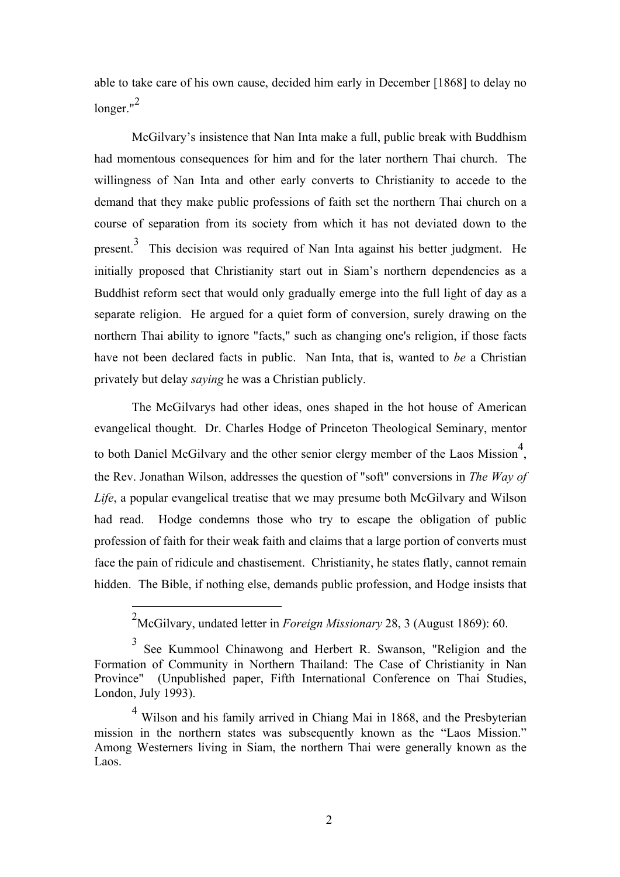able to take care of his own cause, decided him early in December [1868] to delay no longer."<sup>2</sup>

McGilvary's insistence that Nan Inta make a full, public break with Buddhism had momentous consequences for him and for the later northern Thai church. The willingness of Nan Inta and other early converts to Christianity to accede to the demand that they make public professions of faith set the northern Thai church on a course of separation from its society from which it has not deviated down to the present.<sup>3</sup> This decision was required of Nan Inta against his better judgment. He initially proposed that Christianity start out in Siam's northern dependencies as a Buddhist reform sect that would only gradually emerge into the full light of day as a separate religion. He argued for a quiet form of conversion, surely drawing on the northern Thai ability to ignore "facts," such as changing one's religion, if those facts have not been declared facts in public. Nan Inta, that is, wanted to *be* a Christian privately but delay *saying* he was a Christian publicly.

The McGilvarys had other ideas, ones shaped in the hot house of American evangelical thought. Dr. Charles Hodge of Princeton Theological Seminary, mentor to both Daniel McGilvary and the other senior clergy member of the Laos Mission<sup>4</sup>, the Rev. Jonathan Wilson, addresses the question of "soft" conversions in *The Way of Life*, a popular evangelical treatise that we may presume both McGilvary and Wilson had read. Hodge condemns those who try to escape the obligation of public profession of faith for their weak faith and claims that a large portion of converts must face the pain of ridicule and chastisement. Christianity, he states flatly, cannot remain hidden. The Bible, if nothing else, demands public profession, and Hodge insists that

 <sup>2</sup> McGilvary, undated letter in *Foreign Missionary* 28, 3 (August 1869): 60.

<sup>3</sup> See Kummool Chinawong and Herbert R. Swanson, "Religion and the Formation of Community in Northern Thailand: The Case of Christianity in Nan Province" (Unpublished paper, Fifth International Conference on Thai Studies, London, July 1993).

<sup>4</sup> Wilson and his family arrived in Chiang Mai in 1868, and the Presbyterian mission in the northern states was subsequently known as the "Laos Mission." Among Westerners living in Siam, the northern Thai were generally known as the Laos.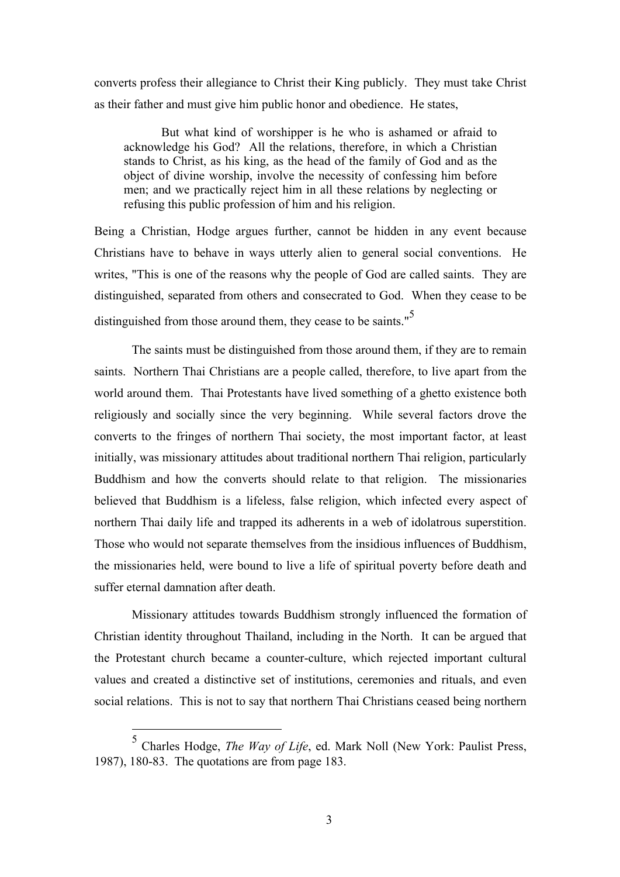converts profess their allegiance to Christ their King publicly. They must take Christ as their father and must give him public honor and obedience. He states,

But what kind of worshipper is he who is ashamed or afraid to acknowledge his God? All the relations, therefore, in which a Christian stands to Christ, as his king, as the head of the family of God and as the object of divine worship, involve the necessity of confessing him before men; and we practically reject him in all these relations by neglecting or refusing this public profession of him and his religion.

Being a Christian, Hodge argues further, cannot be hidden in any event because Christians have to behave in ways utterly alien to general social conventions. He writes, "This is one of the reasons why the people of God are called saints. They are distinguished, separated from others and consecrated to God. When they cease to be distinguished from those around them, they cease to be saints."<sup>5</sup>

The saints must be distinguished from those around them, if they are to remain saints. Northern Thai Christians are a people called, therefore, to live apart from the world around them. Thai Protestants have lived something of a ghetto existence both religiously and socially since the very beginning. While several factors drove the converts to the fringes of northern Thai society, the most important factor, at least initially, was missionary attitudes about traditional northern Thai religion, particularly Buddhism and how the converts should relate to that religion. The missionaries believed that Buddhism is a lifeless, false religion, which infected every aspect of northern Thai daily life and trapped its adherents in a web of idolatrous superstition. Those who would not separate themselves from the insidious influences of Buddhism, the missionaries held, were bound to live a life of spiritual poverty before death and suffer eternal damnation after death.

Missionary attitudes towards Buddhism strongly influenced the formation of Christian identity throughout Thailand, including in the North. It can be argued that the Protestant church became a counter-culture, which rejected important cultural values and created a distinctive set of institutions, ceremonies and rituals, and even social relations. This is not to say that northern Thai Christians ceased being northern

 <sup>5</sup> Charles Hodge, *The Way of Life*, ed. Mark Noll (New York: Paulist Press, 1987), 180-83. The quotations are from page 183.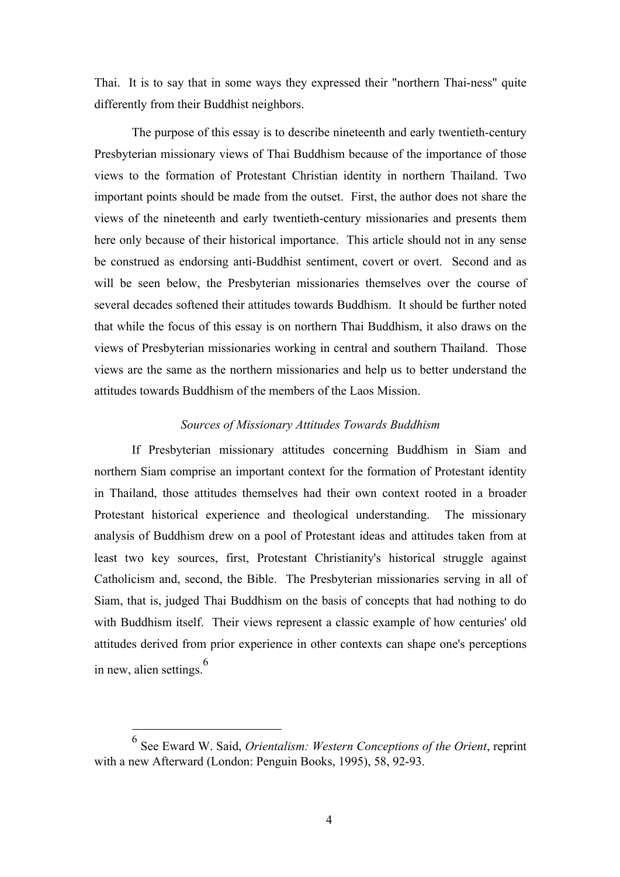Thai. It is to say that in some ways they expressed their "northern Thai-ness" quite differently from their Buddhist neighbors.

The purpose of this essay is to describe nineteenth and early twentieth-century Presbyterian missionary views of Thai Buddhism because of the importance of those views to the formation of Protestant Christian identity in northern Thailand. Two important points should be made from the outset. First, the author does not share the views of the nineteenth and early twentieth-century missionaries and presents them here only because of their historical importance. This article should not in any sense be construed as endorsing anti-Buddhist sentiment, covert or overt. Second and as will be seen below, the Presbyterian missionaries themselves over the course of several decades softened their attitudes towards Buddhism. It should be further noted that while the focus of this essay is on northern Thai Buddhism, it also draws on the views of Presbyterian missionaries working in central and southern Thailand. Those views are the same as the northern missionaries and help us to better understand the attitudes towards Buddhism of the members of the Laos Mission.

### *Sources of Missionary Attitudes Towards Buddhism*

If Presbyterian missionary attitudes concerning Buddhism in Siam and northern Siam comprise an important context for the formation of Protestant identity in Thailand, those attitudes themselves had their own context rooted in a broader Protestant historical experience and theological understanding. The missionary analysis of Buddhism drew on a pool of Protestant ideas and attitudes taken from at least two key sources, first, Protestant Christianity's historical struggle against Catholicism and, second, the Bible. The Presbyterian missionaries serving in all of Siam, that is, judged Thai Buddhism on the basis of concepts that had nothing to do with Buddhism itself. Their views represent a classic example of how centuries' old attitudes derived from prior experience in other contexts can shape one's perceptions in new, alien settings.<sup>6</sup>

 <sup>6</sup> See Eward W. Said, *Orientalism: Western Conceptions of the Orient*, reprint with a new Afterward (London: Penguin Books, 1995), 58, 92-93.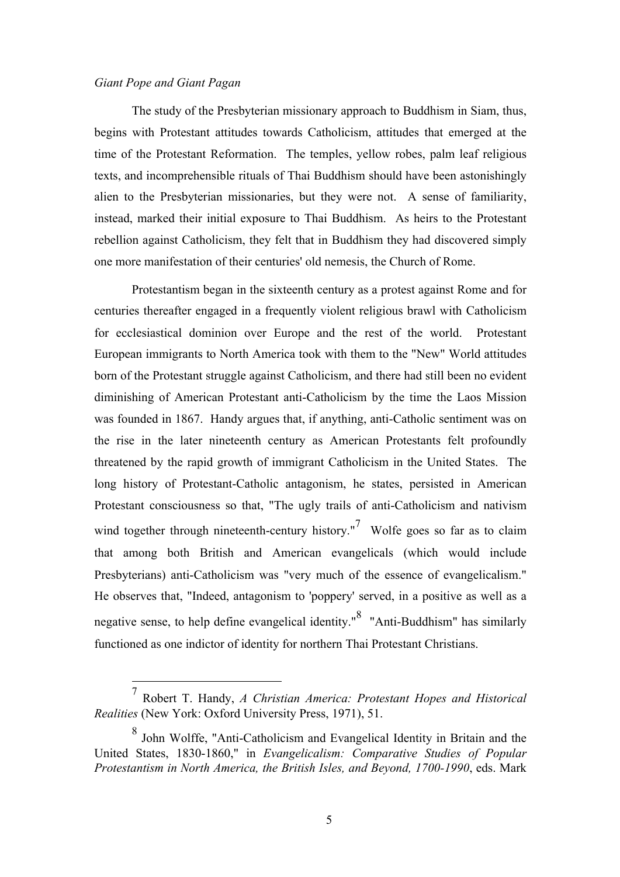# *Giant Pope and Giant Pagan*

The study of the Presbyterian missionary approach to Buddhism in Siam, thus, begins with Protestant attitudes towards Catholicism, attitudes that emerged at the time of the Protestant Reformation. The temples, yellow robes, palm leaf religious texts, and incomprehensible rituals of Thai Buddhism should have been astonishingly alien to the Presbyterian missionaries, but they were not. A sense of familiarity, instead, marked their initial exposure to Thai Buddhism. As heirs to the Protestant rebellion against Catholicism, they felt that in Buddhism they had discovered simply one more manifestation of their centuries' old nemesis, the Church of Rome.

Protestantism began in the sixteenth century as a protest against Rome and for centuries thereafter engaged in a frequently violent religious brawl with Catholicism for ecclesiastical dominion over Europe and the rest of the world. Protestant European immigrants to North America took with them to the "New" World attitudes born of the Protestant struggle against Catholicism, and there had still been no evident diminishing of American Protestant anti-Catholicism by the time the Laos Mission was founded in 1867. Handy argues that, if anything, anti-Catholic sentiment was on the rise in the later nineteenth century as American Protestants felt profoundly threatened by the rapid growth of immigrant Catholicism in the United States. The long history of Protestant-Catholic antagonism, he states, persisted in American Protestant consciousness so that, "The ugly trails of anti-Catholicism and nativism wind together through nineteenth-century history."<sup>7</sup> Wolfe goes so far as to claim that among both British and American evangelicals (which would include Presbyterians) anti-Catholicism was "very much of the essence of evangelicalism." He observes that, "Indeed, antagonism to 'poppery' served, in a positive as well as a negative sense, to help define evangelical identity." $8$  "Anti-Buddhism" has similarly functioned as one indictor of identity for northern Thai Protestant Christians.

 <sup>7</sup> Robert T. Handy, *A Christian America: Protestant Hopes and Historical Realities* (New York: Oxford University Press, 1971), 51.

<sup>8</sup> John Wolffe, "Anti-Catholicism and Evangelical Identity in Britain and the United States, 1830-1860," in *Evangelicalism: Comparative Studies of Popular Protestantism in North America, the British Isles, and Beyond, 1700-1990*, eds. Mark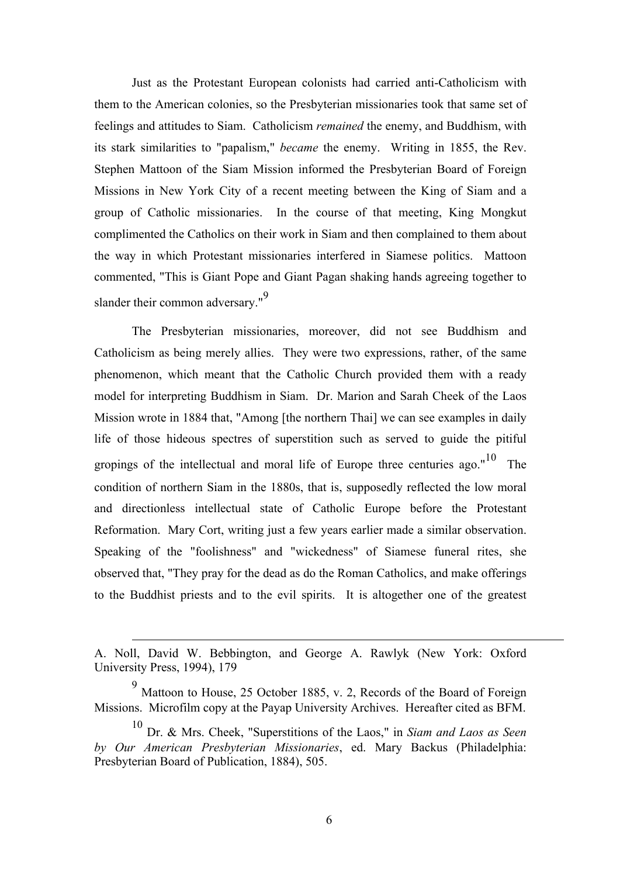Just as the Protestant European colonists had carried anti-Catholicism with them to the American colonies, so the Presbyterian missionaries took that same set of feelings and attitudes to Siam. Catholicism *remained* the enemy, and Buddhism, with its stark similarities to "papalism," *became* the enemy. Writing in 1855, the Rev. Stephen Mattoon of the Siam Mission informed the Presbyterian Board of Foreign Missions in New York City of a recent meeting between the King of Siam and a group of Catholic missionaries. In the course of that meeting, King Mongkut complimented the Catholics on their work in Siam and then complained to them about the way in which Protestant missionaries interfered in Siamese politics. Mattoon commented, "This is Giant Pope and Giant Pagan shaking hands agreeing together to slander their common adversary."<sup>9</sup>

The Presbyterian missionaries, moreover, did not see Buddhism and Catholicism as being merely allies. They were two expressions, rather, of the same phenomenon, which meant that the Catholic Church provided them with a ready model for interpreting Buddhism in Siam. Dr. Marion and Sarah Cheek of the Laos Mission wrote in 1884 that, "Among [the northern Thai] we can see examples in daily life of those hideous spectres of superstition such as served to guide the pitiful gropings of the intellectual and moral life of Europe three centuries ago."<sup>10</sup> The condition of northern Siam in the 1880s, that is, supposedly reflected the low moral and directionless intellectual state of Catholic Europe before the Protestant Reformation. Mary Cort, writing just a few years earlier made a similar observation. Speaking of the "foolishness" and "wickedness" of Siamese funeral rites, she observed that, "They pray for the dead as do the Roman Catholics, and make offerings to the Buddhist priests and to the evil spirits. It is altogether one of the greatest

 $\overline{a}$ 

A. Noll, David W. Bebbington, and George A. Rawlyk (New York: Oxford University Press, 1994), 179

<sup>&</sup>lt;sup>9</sup> Mattoon to House, 25 October 1885, v. 2, Records of the Board of Foreign Missions. Microfilm copy at the Payap University Archives. Hereafter cited as BFM.

<sup>10</sup> Dr. & Mrs. Cheek, "Superstitions of the Laos," in *Siam and Laos as Seen by Our American Presbyterian Missionaries*, ed. Mary Backus (Philadelphia: Presbyterian Board of Publication, 1884), 505.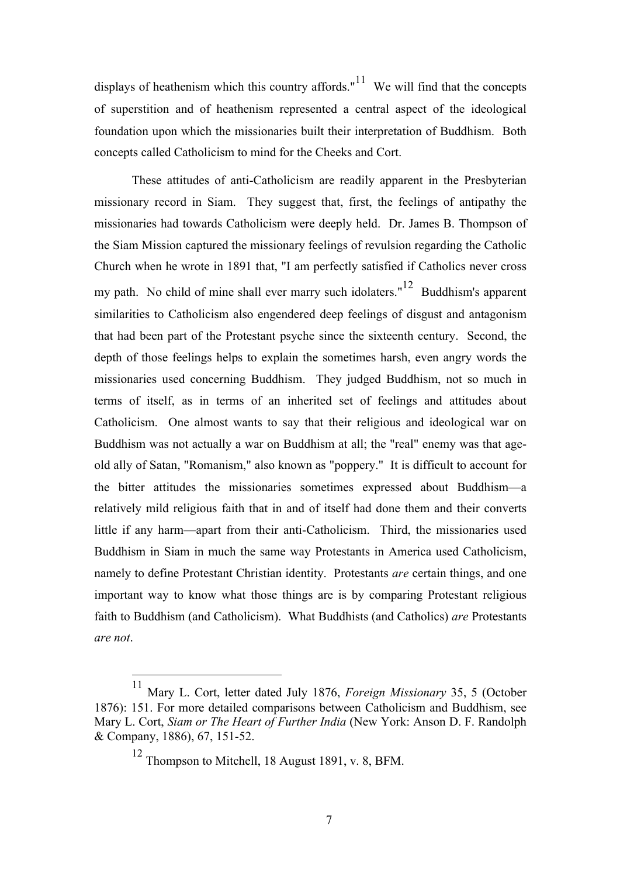displays of heathenism which this country affords." $11$  We will find that the concepts of superstition and of heathenism represented a central aspect of the ideological foundation upon which the missionaries built their interpretation of Buddhism. Both concepts called Catholicism to mind for the Cheeks and Cort.

These attitudes of anti-Catholicism are readily apparent in the Presbyterian missionary record in Siam. They suggest that, first, the feelings of antipathy the missionaries had towards Catholicism were deeply held. Dr. James B. Thompson of the Siam Mission captured the missionary feelings of revulsion regarding the Catholic Church when he wrote in 1891 that, "I am perfectly satisfied if Catholics never cross my path. No child of mine shall ever marry such idolaters."<sup>12</sup> Buddhism's apparent similarities to Catholicism also engendered deep feelings of disgust and antagonism that had been part of the Protestant psyche since the sixteenth century. Second, the depth of those feelings helps to explain the sometimes harsh, even angry words the missionaries used concerning Buddhism. They judged Buddhism, not so much in terms of itself, as in terms of an inherited set of feelings and attitudes about Catholicism. One almost wants to say that their religious and ideological war on Buddhism was not actually a war on Buddhism at all; the "real" enemy was that ageold ally of Satan, "Romanism," also known as "poppery." It is difficult to account for the bitter attitudes the missionaries sometimes expressed about Buddhism—a relatively mild religious faith that in and of itself had done them and their converts little if any harm—apart from their anti-Catholicism. Third, the missionaries used Buddhism in Siam in much the same way Protestants in America used Catholicism, namely to define Protestant Christian identity. Protestants *are* certain things, and one important way to know what those things are is by comparing Protestant religious faith to Buddhism (and Catholicism). What Buddhists (and Catholics) *are* Protestants *are not*.

 <sup>11</sup> Mary L. Cort, letter dated July 1876, *Foreign Missionary* 35, 5 (October 1876): 151. For more detailed comparisons between Catholicism and Buddhism, see Mary L. Cort, *Siam or The Heart of Further India* (New York: Anson D. F. Randolph & Company, 1886), 67, 151-52.

<sup>12</sup> Thompson to Mitchell, 18 August 1891, v. 8, BFM.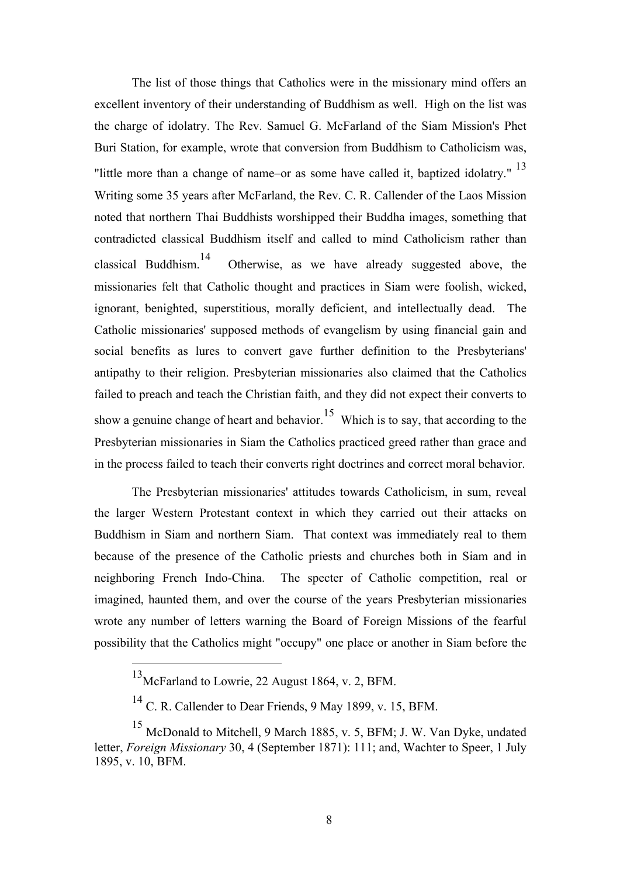The list of those things that Catholics were in the missionary mind offers an excellent inventory of their understanding of Buddhism as well. High on the list was the charge of idolatry. The Rev. Samuel G. McFarland of the Siam Mission's Phet Buri Station, for example, wrote that conversion from Buddhism to Catholicism was, "little more than a change of name–or as some have called it, baptized idolatry." <sup>13</sup> Writing some 35 years after McFarland, the Rev. C. R. Callender of the Laos Mission noted that northern Thai Buddhists worshipped their Buddha images, something that contradicted classical Buddhism itself and called to mind Catholicism rather than classical Buddhism.14 Otherwise, as we have already suggested above, the missionaries felt that Catholic thought and practices in Siam were foolish, wicked, ignorant, benighted, superstitious, morally deficient, and intellectually dead. The Catholic missionaries' supposed methods of evangelism by using financial gain and social benefits as lures to convert gave further definition to the Presbyterians' antipathy to their religion. Presbyterian missionaries also claimed that the Catholics failed to preach and teach the Christian faith, and they did not expect their converts to show a genuine change of heart and behavior.<sup>15</sup> Which is to say, that according to the Presbyterian missionaries in Siam the Catholics practiced greed rather than grace and in the process failed to teach their converts right doctrines and correct moral behavior.

The Presbyterian missionaries' attitudes towards Catholicism, in sum, reveal the larger Western Protestant context in which they carried out their attacks on Buddhism in Siam and northern Siam. That context was immediately real to them because of the presence of the Catholic priests and churches both in Siam and in neighboring French Indo-China. The specter of Catholic competition, real or imagined, haunted them, and over the course of the years Presbyterian missionaries wrote any number of letters warning the Board of Foreign Missions of the fearful possibility that the Catholics might "occupy" one place or another in Siam before the

 <sup>13</sup>McFarland to Lowrie, 22 August 1864, v. 2, BFM.

<sup>14</sup> C. R. Callender to Dear Friends, 9 May 1899, v. 15, BFM.

<sup>15</sup> McDonald to Mitchell, 9 March 1885, v. 5, BFM; J. W. Van Dyke, undated letter, *Foreign Missionary* 30, 4 (September 1871): 111; and, Wachter to Speer, 1 July 1895, v. 10, BFM.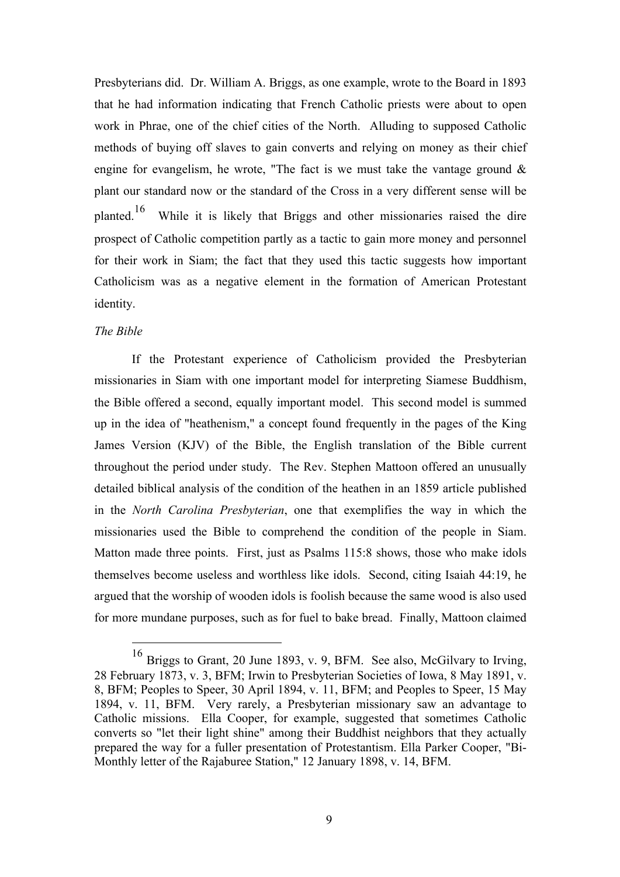Presbyterians did. Dr. William A. Briggs, as one example, wrote to the Board in 1893 that he had information indicating that French Catholic priests were about to open work in Phrae, one of the chief cities of the North. Alluding to supposed Catholic methods of buying off slaves to gain converts and relying on money as their chief engine for evangelism, he wrote, "The fact is we must take the vantage ground  $\&$ plant our standard now or the standard of the Cross in a very different sense will be planted.16 While it is likely that Briggs and other missionaries raised the dire prospect of Catholic competition partly as a tactic to gain more money and personnel for their work in Siam; the fact that they used this tactic suggests how important Catholicism was as a negative element in the formation of American Protestant identity.

#### *The Bible*

If the Protestant experience of Catholicism provided the Presbyterian missionaries in Siam with one important model for interpreting Siamese Buddhism, the Bible offered a second, equally important model. This second model is summed up in the idea of "heathenism," a concept found frequently in the pages of the King James Version (KJV) of the Bible, the English translation of the Bible current throughout the period under study. The Rev. Stephen Mattoon offered an unusually detailed biblical analysis of the condition of the heathen in an 1859 article published in the *North Carolina Presbyterian*, one that exemplifies the way in which the missionaries used the Bible to comprehend the condition of the people in Siam. Matton made three points. First, just as Psalms 115:8 shows, those who make idols themselves become useless and worthless like idols. Second, citing Isaiah 44:19, he argued that the worship of wooden idols is foolish because the same wood is also used for more mundane purposes, such as for fuel to bake bread. Finally, Mattoon claimed

 <sup>16</sup> Briggs to Grant, 20 June 1893, v. 9, BFM. See also, McGilvary to Irving, 28 February 1873, v. 3, BFM; Irwin to Presbyterian Societies of Iowa, 8 May 1891, v. 8, BFM; Peoples to Speer, 30 April 1894, v. 11, BFM; and Peoples to Speer, 15 May 1894, v. 11, BFM. Very rarely, a Presbyterian missionary saw an advantage to Catholic missions. Ella Cooper, for example, suggested that sometimes Catholic converts so "let their light shine" among their Buddhist neighbors that they actually prepared the way for a fuller presentation of Protestantism. Ella Parker Cooper, "Bi-Monthly letter of the Rajaburee Station," 12 January 1898, v. 14, BFM.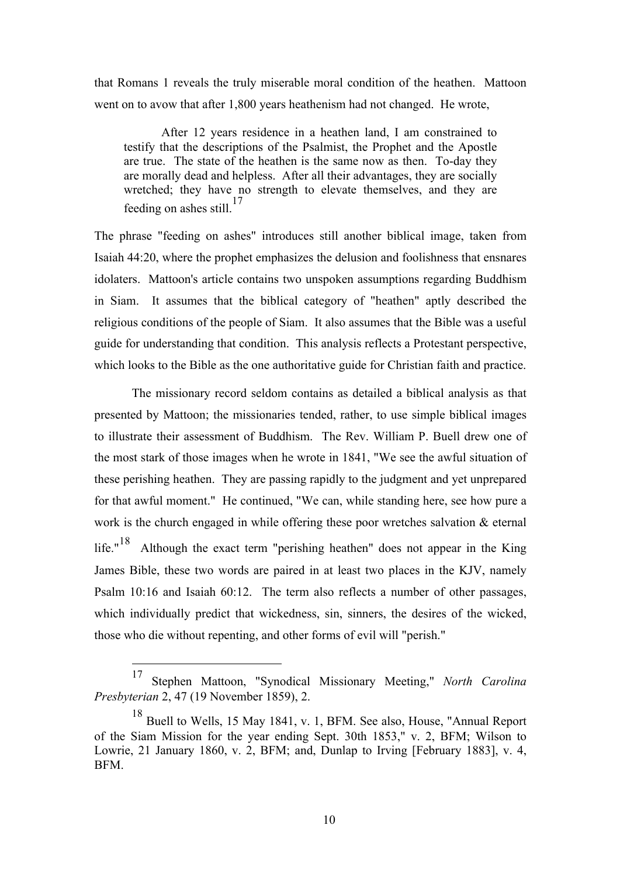that Romans 1 reveals the truly miserable moral condition of the heathen. Mattoon went on to avow that after 1,800 years heathenism had not changed. He wrote,

After 12 years residence in a heathen land, I am constrained to testify that the descriptions of the Psalmist, the Prophet and the Apostle are true. The state of the heathen is the same now as then. To-day they are morally dead and helpless. After all their advantages, they are socially wretched; they have no strength to elevate themselves, and they are feeding on ashes still.<sup>17</sup>

The phrase "feeding on ashes" introduces still another biblical image, taken from Isaiah 44:20, where the prophet emphasizes the delusion and foolishness that ensnares idolaters. Mattoon's article contains two unspoken assumptions regarding Buddhism in Siam. It assumes that the biblical category of "heathen" aptly described the religious conditions of the people of Siam. It also assumes that the Bible was a useful guide for understanding that condition. This analysis reflects a Protestant perspective, which looks to the Bible as the one authoritative guide for Christian faith and practice.

The missionary record seldom contains as detailed a biblical analysis as that presented by Mattoon; the missionaries tended, rather, to use simple biblical images to illustrate their assessment of Buddhism. The Rev. William P. Buell drew one of the most stark of those images when he wrote in 1841, "We see the awful situation of these perishing heathen. They are passing rapidly to the judgment and yet unprepared for that awful moment." He continued, "We can, while standing here, see how pure a work is the church engaged in while offering these poor wretches salvation & eternal life."<sup>18</sup> Although the exact term "perishing heathen" does not appear in the King James Bible, these two words are paired in at least two places in the KJV, namely Psalm 10:16 and Isaiah 60:12. The term also reflects a number of other passages, which individually predict that wickedness, sin, sinners, the desires of the wicked, those who die without repenting, and other forms of evil will "perish."

 <sup>17</sup> Stephen Mattoon, "Synodical Missionary Meeting," *North Carolina Presbyterian* 2, 47 (19 November 1859), 2.

<sup>18</sup> Buell to Wells, 15 May 1841, v. 1, BFM. See also, House, "Annual Report of the Siam Mission for the year ending Sept. 30th 1853," v. 2, BFM; Wilson to Lowrie, 21 January 1860, v. 2, BFM; and, Dunlap to Irving [February 1883], v. 4, BFM.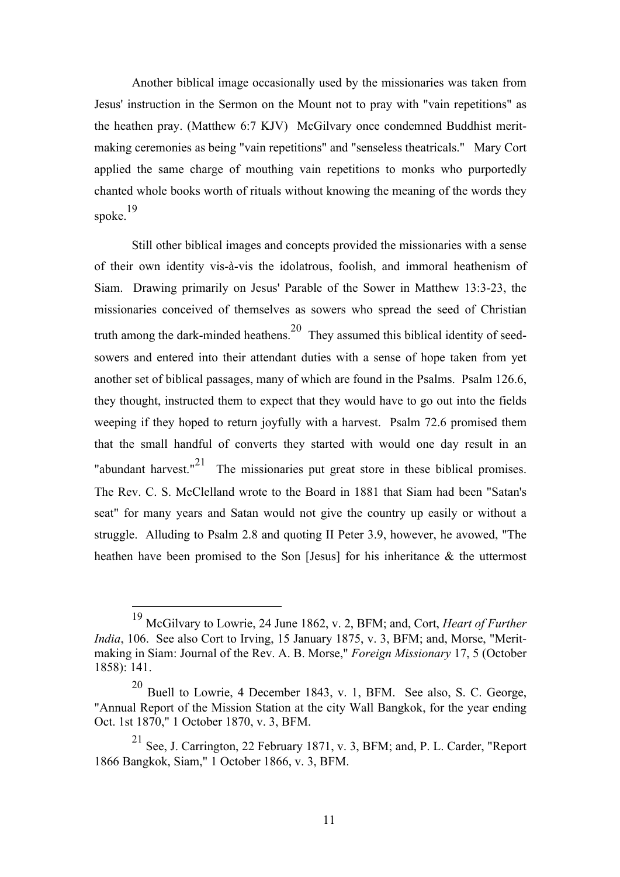Another biblical image occasionally used by the missionaries was taken from Jesus' instruction in the Sermon on the Mount not to pray with "vain repetitions" as the heathen pray. (Matthew 6:7 KJV) McGilvary once condemned Buddhist meritmaking ceremonies as being "vain repetitions" and "senseless theatricals." Mary Cort applied the same charge of mouthing vain repetitions to monks who purportedly chanted whole books worth of rituals without knowing the meaning of the words they spoke.19

Still other biblical images and concepts provided the missionaries with a sense of their own identity vis-à-vis the idolatrous, foolish, and immoral heathenism of Siam. Drawing primarily on Jesus' Parable of the Sower in Matthew 13:3-23, the missionaries conceived of themselves as sowers who spread the seed of Christian truth among the dark-minded heathens.<sup>20</sup> They assumed this biblical identity of seedsowers and entered into their attendant duties with a sense of hope taken from yet another set of biblical passages, many of which are found in the Psalms. Psalm 126.6, they thought, instructed them to expect that they would have to go out into the fields weeping if they hoped to return joyfully with a harvest. Psalm 72.6 promised them that the small handful of converts they started with would one day result in an "abundant harvest." $21$  The missionaries put great store in these biblical promises. The Rev. C. S. McClelland wrote to the Board in 1881 that Siam had been "Satan's seat" for many years and Satan would not give the country up easily or without a struggle. Alluding to Psalm 2.8 and quoting II Peter 3.9, however, he avowed, "The heathen have been promised to the Son [Jesus] for his inheritance & the uttermost

 <sup>19</sup> McGilvary to Lowrie, 24 June 1862, v. 2, BFM; and, Cort, *Heart of Further India*, 106. See also Cort to Irving, 15 January 1875, v. 3, BFM; and, Morse, "Meritmaking in Siam: Journal of the Rev. A. B. Morse," *Foreign Missionary* 17, 5 (October 1858): 141.

 $20$  Buell to Lowrie, 4 December 1843, v. 1, BFM. See also, S. C. George, "Annual Report of the Mission Station at the city Wall Bangkok, for the year ending Oct. 1st 1870," 1 October 1870, v. 3, BFM.

<sup>21</sup> See, J. Carrington, 22 February 1871, v. 3, BFM; and, P. L. Carder, "Report 1866 Bangkok, Siam," 1 October 1866, v. 3, BFM.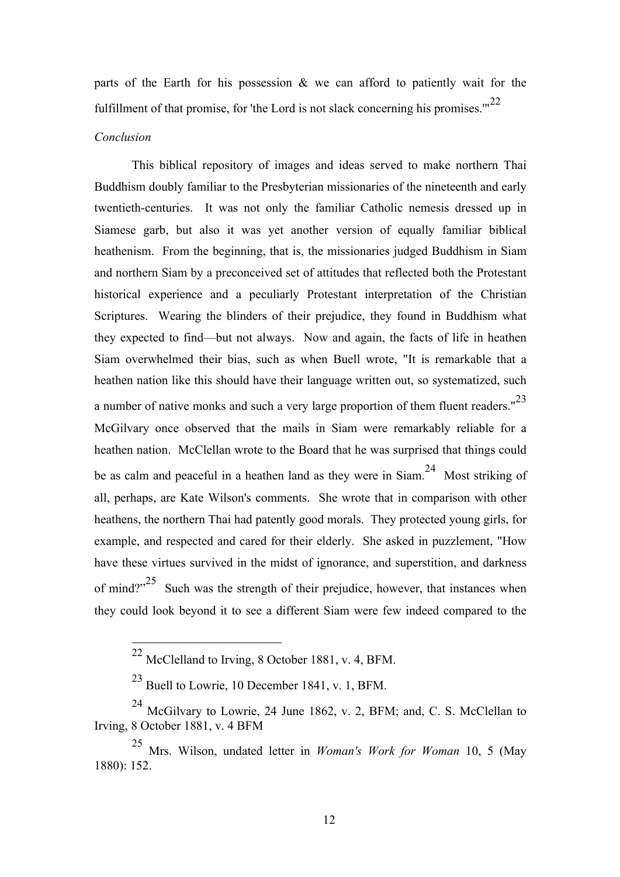parts of the Earth for his possession & we can afford to patiently wait for the fulfillment of that promise, for 'the Lord is not slack concerning his promises.'"<sup>22</sup>

#### *Conclusion*

This biblical repository of images and ideas served to make northern Thai Buddhism doubly familiar to the Presbyterian missionaries of the nineteenth and early twentieth-centuries. It was not only the familiar Catholic nemesis dressed up in Siamese garb, but also it was yet another version of equally familiar biblical heathenism. From the beginning, that is, the missionaries judged Buddhism in Siam and northern Siam by a preconceived set of attitudes that reflected both the Protestant historical experience and a peculiarly Protestant interpretation of the Christian Scriptures. Wearing the blinders of their prejudice, they found in Buddhism what they expected to find—but not always. Now and again, the facts of life in heathen Siam overwhelmed their bias, such as when Buell wrote, "It is remarkable that a heathen nation like this should have their language written out, so systematized, such a number of native monks and such a very large proportion of them fluent readers."<sup>23</sup> McGilvary once observed that the mails in Siam were remarkably reliable for a heathen nation. McClellan wrote to the Board that he was surprised that things could be as calm and peaceful in a heathen land as they were in Siam.<sup>24</sup> Most striking of all, perhaps, are Kate Wilson's comments. She wrote that in comparison with other heathens, the northern Thai had patently good morals. They protected young girls, for example, and respected and cared for their elderly. She asked in puzzlement, "How have these virtues survived in the midst of ignorance, and superstition, and darkness of mind?"<sup>25</sup> Such was the strength of their prejudice, however, that instances when they could look beyond it to see a different Siam were few indeed compared to the

 <sup>22</sup> McClelland to Irving, 8 October 1881, v. 4, BFM.

<sup>23</sup> Buell to Lowrie, 10 December 1841, v. 1, BFM.

<sup>24</sup> McGilvary to Lowrie, 24 June 1862, v. 2, BFM; and, C. S. McClellan to Irving, 8 October 1881, v. 4 BFM

<sup>25</sup> Mrs. Wilson, undated letter in *Woman's Work for Woman* 10, 5 (May 1880): 152.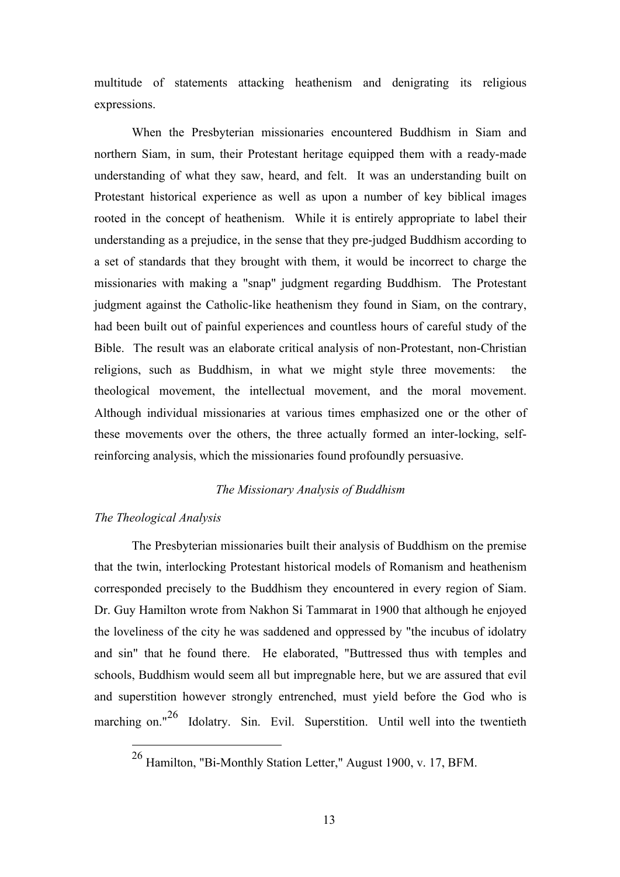multitude of statements attacking heathenism and denigrating its religious expressions.

When the Presbyterian missionaries encountered Buddhism in Siam and northern Siam, in sum, their Protestant heritage equipped them with a ready-made understanding of what they saw, heard, and felt. It was an understanding built on Protestant historical experience as well as upon a number of key biblical images rooted in the concept of heathenism. While it is entirely appropriate to label their understanding as a prejudice, in the sense that they pre-judged Buddhism according to a set of standards that they brought with them, it would be incorrect to charge the missionaries with making a "snap" judgment regarding Buddhism. The Protestant judgment against the Catholic-like heathenism they found in Siam, on the contrary, had been built out of painful experiences and countless hours of careful study of the Bible. The result was an elaborate critical analysis of non-Protestant, non-Christian religions, such as Buddhism, in what we might style three movements: the theological movement, the intellectual movement, and the moral movement. Although individual missionaries at various times emphasized one or the other of these movements over the others, the three actually formed an inter-locking, selfreinforcing analysis, which the missionaries found profoundly persuasive.

# *The Missionary Analysis of Buddhism*

# *The Theological Analysis*

The Presbyterian missionaries built their analysis of Buddhism on the premise that the twin, interlocking Protestant historical models of Romanism and heathenism corresponded precisely to the Buddhism they encountered in every region of Siam. Dr. Guy Hamilton wrote from Nakhon Si Tammarat in 1900 that although he enjoyed the loveliness of the city he was saddened and oppressed by "the incubus of idolatry and sin" that he found there. He elaborated, "Buttressed thus with temples and schools, Buddhism would seem all but impregnable here, but we are assured that evil and superstition however strongly entrenched, must yield before the God who is marching on."<sup>26</sup> Idolatry. Sin. Evil. Superstition. Until well into the twentieth

 <sup>26</sup> Hamilton, "Bi-Monthly Station Letter," August 1900, v. 17, BFM.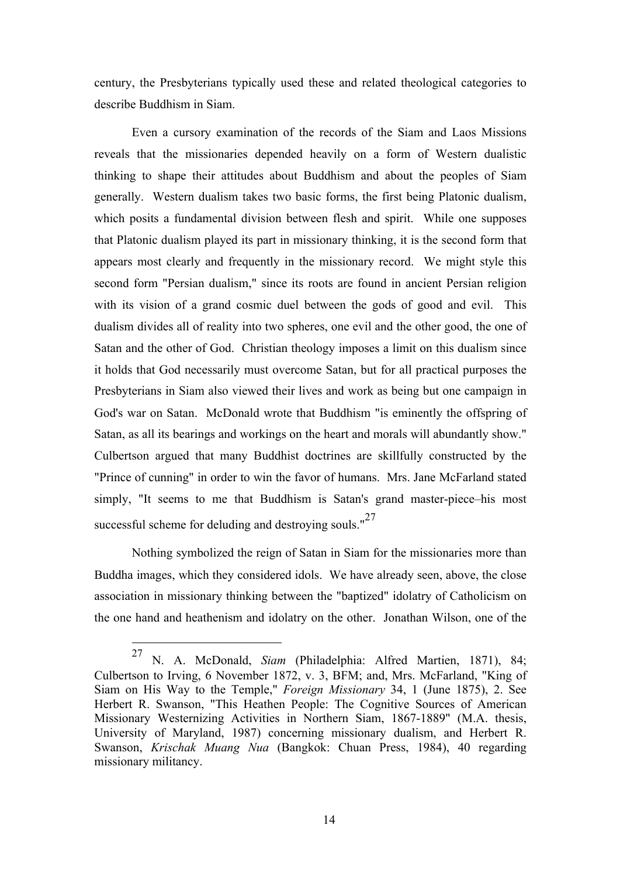century, the Presbyterians typically used these and related theological categories to describe Buddhism in Siam.

Even a cursory examination of the records of the Siam and Laos Missions reveals that the missionaries depended heavily on a form of Western dualistic thinking to shape their attitudes about Buddhism and about the peoples of Siam generally. Western dualism takes two basic forms, the first being Platonic dualism, which posits a fundamental division between flesh and spirit. While one supposes that Platonic dualism played its part in missionary thinking, it is the second form that appears most clearly and frequently in the missionary record. We might style this second form "Persian dualism," since its roots are found in ancient Persian religion with its vision of a grand cosmic duel between the gods of good and evil. This dualism divides all of reality into two spheres, one evil and the other good, the one of Satan and the other of God. Christian theology imposes a limit on this dualism since it holds that God necessarily must overcome Satan, but for all practical purposes the Presbyterians in Siam also viewed their lives and work as being but one campaign in God's war on Satan. McDonald wrote that Buddhism "is eminently the offspring of Satan, as all its bearings and workings on the heart and morals will abundantly show." Culbertson argued that many Buddhist doctrines are skillfully constructed by the "Prince of cunning" in order to win the favor of humans. Mrs. Jane McFarland stated simply, "It seems to me that Buddhism is Satan's grand master-piece–his most successful scheme for deluding and destroying souls."<sup>27</sup>

Nothing symbolized the reign of Satan in Siam for the missionaries more than Buddha images, which they considered idols. We have already seen, above, the close association in missionary thinking between the "baptized" idolatry of Catholicism on the one hand and heathenism and idolatry on the other. Jonathan Wilson, one of the

 <sup>27</sup> N. A. McDonald, *Siam* (Philadelphia: Alfred Martien, 1871), 84; Culbertson to Irving, 6 November 1872, v. 3, BFM; and, Mrs. McFarland, "King of Siam on His Way to the Temple," *Foreign Missionary* 34, 1 (June 1875), 2. See Herbert R. Swanson, "This Heathen People: The Cognitive Sources of American Missionary Westernizing Activities in Northern Siam, 1867-1889" (M.A. thesis, University of Maryland, 1987) concerning missionary dualism, and Herbert R. Swanson, *Krischak Muang Nua* (Bangkok: Chuan Press, 1984), 40 regarding missionary militancy.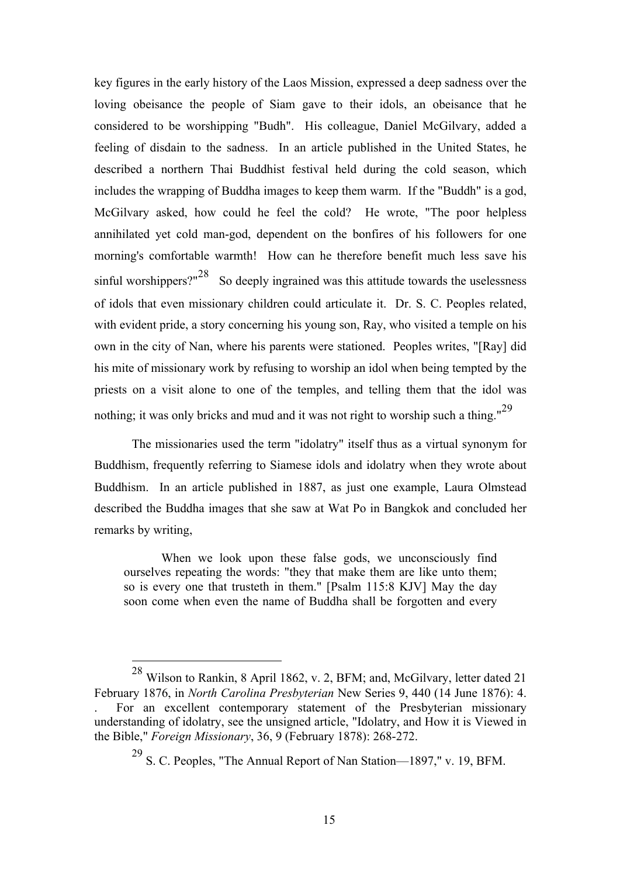key figures in the early history of the Laos Mission, expressed a deep sadness over the loving obeisance the people of Siam gave to their idols, an obeisance that he considered to be worshipping "Budh". His colleague, Daniel McGilvary, added a feeling of disdain to the sadness. In an article published in the United States, he described a northern Thai Buddhist festival held during the cold season, which includes the wrapping of Buddha images to keep them warm. If the "Buddh" is a god, McGilvary asked, how could he feel the cold? He wrote, "The poor helpless annihilated yet cold man-god, dependent on the bonfires of his followers for one morning's comfortable warmth! How can he therefore benefit much less save his sinful worshippers?" $28$  So deeply ingrained was this attitude towards the uselessness of idols that even missionary children could articulate it. Dr. S. C. Peoples related, with evident pride, a story concerning his young son, Ray, who visited a temple on his own in the city of Nan, where his parents were stationed. Peoples writes, "[Ray] did his mite of missionary work by refusing to worship an idol when being tempted by the priests on a visit alone to one of the temples, and telling them that the idol was nothing; it was only bricks and mud and it was not right to worship such a thing."<sup>29</sup>

The missionaries used the term "idolatry" itself thus as a virtual synonym for Buddhism, frequently referring to Siamese idols and idolatry when they wrote about Buddhism. In an article published in 1887, as just one example, Laura Olmstead described the Buddha images that she saw at Wat Po in Bangkok and concluded her remarks by writing,

When we look upon these false gods, we unconsciously find ourselves repeating the words: "they that make them are like unto them; so is every one that trusteth in them." [Psalm 115:8 KJV] May the day soon come when even the name of Buddha shall be forgotten and every

 <sup>28</sup> Wilson to Rankin, 8 April 1862, v. 2, BFM; and, McGilvary, letter dated 21 February 1876, in *North Carolina Presbyterian* New Series 9, 440 (14 June 1876): 4. . For an excellent contemporary statement of the Presbyterian missionary understanding of idolatry, see the unsigned article, "Idolatry, and How it is Viewed in the Bible," *Foreign Missionary*, 36, 9 (February 1878): 268-272.

 $29$  S. C. Peoples, "The Annual Report of Nan Station—1897," v. 19, BFM.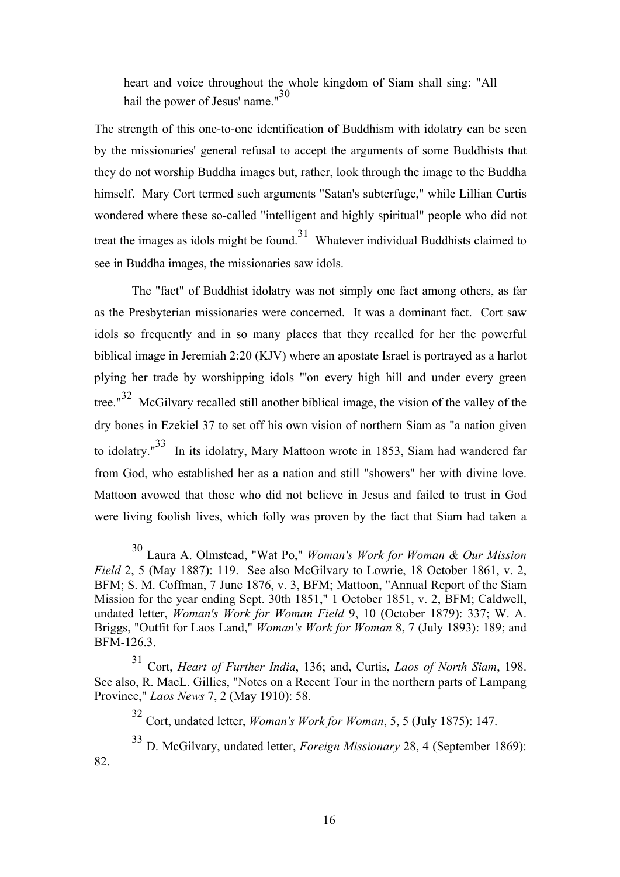heart and voice throughout the whole kingdom of Siam shall sing: "All hail the power of Jesus' name."<sup>30</sup>

The strength of this one-to-one identification of Buddhism with idolatry can be seen by the missionaries' general refusal to accept the arguments of some Buddhists that they do not worship Buddha images but, rather, look through the image to the Buddha himself. Mary Cort termed such arguments "Satan's subterfuge," while Lillian Curtis wondered where these so-called "intelligent and highly spiritual" people who did not treat the images as idols might be found.<sup>31</sup> Whatever individual Buddhists claimed to see in Buddha images, the missionaries saw idols.

The "fact" of Buddhist idolatry was not simply one fact among others, as far as the Presbyterian missionaries were concerned. It was a dominant fact. Cort saw idols so frequently and in so many places that they recalled for her the powerful biblical image in Jeremiah 2:20 (KJV) where an apostate Israel is portrayed as a harlot plying her trade by worshipping idols "'on every high hill and under every green tree."<sup>32</sup> McGilvary recalled still another biblical image, the vision of the valley of the dry bones in Ezekiel 37 to set off his own vision of northern Siam as "a nation given to idolatry."<sup>33</sup> In its idolatry, Mary Mattoon wrote in 1853, Siam had wandered far from God, who established her as a nation and still "showers" her with divine love. Mattoon avowed that those who did not believe in Jesus and failed to trust in God were living foolish lives, which folly was proven by the fact that Siam had taken a

82.

 <sup>30</sup> Laura A. Olmstead, "Wat Po," *Woman's Work for Woman & Our Mission Field* 2, 5 (May 1887): 119. See also McGilvary to Lowrie, 18 October 1861, v. 2, BFM; S. M. Coffman, 7 June 1876, v. 3, BFM; Mattoon, "Annual Report of the Siam Mission for the year ending Sept. 30th 1851," 1 October 1851, v. 2, BFM; Caldwell, undated letter, *Woman's Work for Woman Field* 9, 10 (October 1879): 337; W. A. Briggs, "Outfit for Laos Land," *Woman's Work for Woman* 8, 7 (July 1893): 189; and BFM-126.3.

<sup>31</sup> Cort, *Heart of Further India*, 136; and, Curtis, *Laos of North Siam*, 198. See also, R. MacL. Gillies, "Notes on a Recent Tour in the northern parts of Lampang Province," *Laos News* 7, 2 (May 1910): 58.

<sup>32</sup> Cort, undated letter, *Woman's Work for Woman*, 5, 5 (July 1875): 147.

<sup>33</sup> D. McGilvary, undated letter, *Foreign Missionary* 28, 4 (September 1869):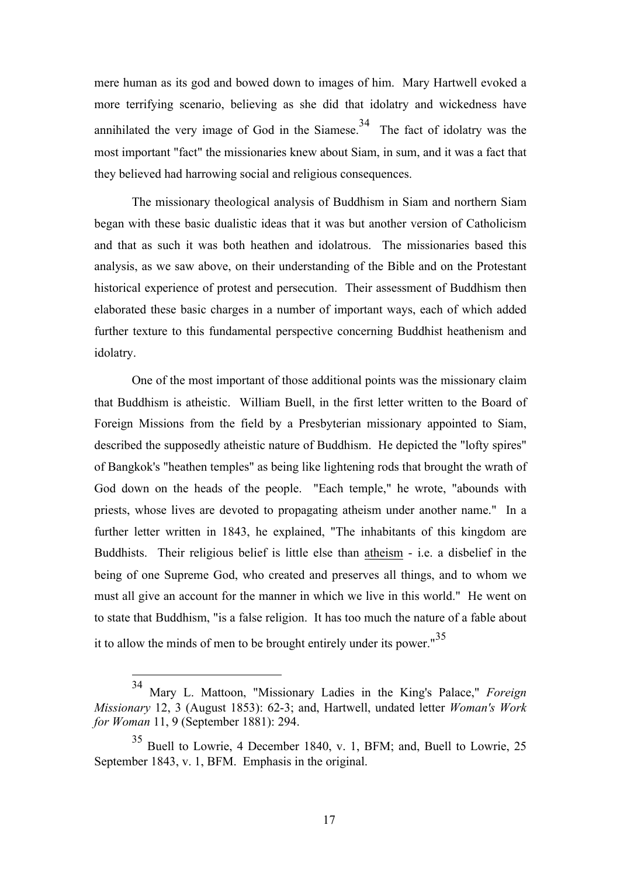mere human as its god and bowed down to images of him. Mary Hartwell evoked a more terrifying scenario, believing as she did that idolatry and wickedness have annihilated the very image of God in the Siamese.<sup>34</sup> The fact of idolatry was the most important "fact" the missionaries knew about Siam, in sum, and it was a fact that they believed had harrowing social and religious consequences.

The missionary theological analysis of Buddhism in Siam and northern Siam began with these basic dualistic ideas that it was but another version of Catholicism and that as such it was both heathen and idolatrous. The missionaries based this analysis, as we saw above, on their understanding of the Bible and on the Protestant historical experience of protest and persecution. Their assessment of Buddhism then elaborated these basic charges in a number of important ways, each of which added further texture to this fundamental perspective concerning Buddhist heathenism and idolatry.

One of the most important of those additional points was the missionary claim that Buddhism is atheistic. William Buell, in the first letter written to the Board of Foreign Missions from the field by a Presbyterian missionary appointed to Siam, described the supposedly atheistic nature of Buddhism. He depicted the "lofty spires" of Bangkok's "heathen temples" as being like lightening rods that brought the wrath of God down on the heads of the people. "Each temple," he wrote, "abounds with priests, whose lives are devoted to propagating atheism under another name." In a further letter written in 1843, he explained, "The inhabitants of this kingdom are Buddhists. Their religious belief is little else than atheism - i.e. a disbelief in the being of one Supreme God, who created and preserves all things, and to whom we must all give an account for the manner in which we live in this world." He went on to state that Buddhism, "is a false religion. It has too much the nature of a fable about it to allow the minds of men to be brought entirely under its power. $\mathrm{^{35}}$ 

 <sup>34</sup> Mary L. Mattoon, "Missionary Ladies in the King's Palace," *Foreign Missionary* 12, 3 (August 1853): 62-3; and, Hartwell, undated letter *Woman's Work for Woman* 11, 9 (September 1881): 294.

<sup>35</sup> Buell to Lowrie, 4 December 1840, v. 1, BFM; and, Buell to Lowrie, 25 September 1843, v. 1, BFM. Emphasis in the original.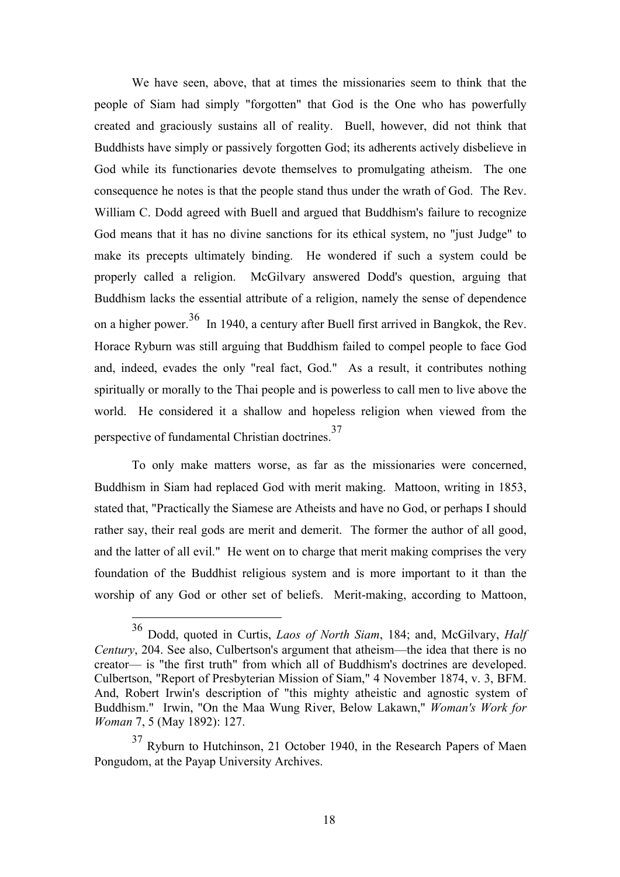We have seen, above, that at times the missionaries seem to think that the people of Siam had simply "forgotten" that God is the One who has powerfully created and graciously sustains all of reality. Buell, however, did not think that Buddhists have simply or passively forgotten God; its adherents actively disbelieve in God while its functionaries devote themselves to promulgating atheism. The one consequence he notes is that the people stand thus under the wrath of God. The Rev. William C. Dodd agreed with Buell and argued that Buddhism's failure to recognize God means that it has no divine sanctions for its ethical system, no "just Judge" to make its precepts ultimately binding. He wondered if such a system could be properly called a religion. McGilvary answered Dodd's question, arguing that Buddhism lacks the essential attribute of a religion, namely the sense of dependence on a higher power.<sup>36</sup> In 1940, a century after Buell first arrived in Bangkok, the Rev. Horace Ryburn was still arguing that Buddhism failed to compel people to face God and, indeed, evades the only "real fact, God." As a result, it contributes nothing spiritually or morally to the Thai people and is powerless to call men to live above the world. He considered it a shallow and hopeless religion when viewed from the perspective of fundamental Christian doctrines.<sup>37</sup>

To only make matters worse, as far as the missionaries were concerned, Buddhism in Siam had replaced God with merit making. Mattoon, writing in 1853, stated that, "Practically the Siamese are Atheists and have no God, or perhaps I should rather say, their real gods are merit and demerit. The former the author of all good, and the latter of all evil." He went on to charge that merit making comprises the very foundation of the Buddhist religious system and is more important to it than the worship of any God or other set of beliefs. Merit-making, according to Mattoon,

 <sup>36</sup> Dodd, quoted in Curtis, *Laos of North Siam*, 184; and, McGilvary, *Half Century*, 204. See also, Culbertson's argument that atheism—the idea that there is no creator— is "the first truth" from which all of Buddhism's doctrines are developed. Culbertson, "Report of Presbyterian Mission of Siam," 4 November 1874, v. 3, BFM. And, Robert Irwin's description of "this mighty atheistic and agnostic system of Buddhism." Irwin, "On the Maa Wung River, Below Lakawn," *Woman's Work for Woman* 7, 5 (May 1892): 127.

<sup>37</sup> Ryburn to Hutchinson, 21 October 1940, in the Research Papers of Maen Pongudom, at the Payap University Archives.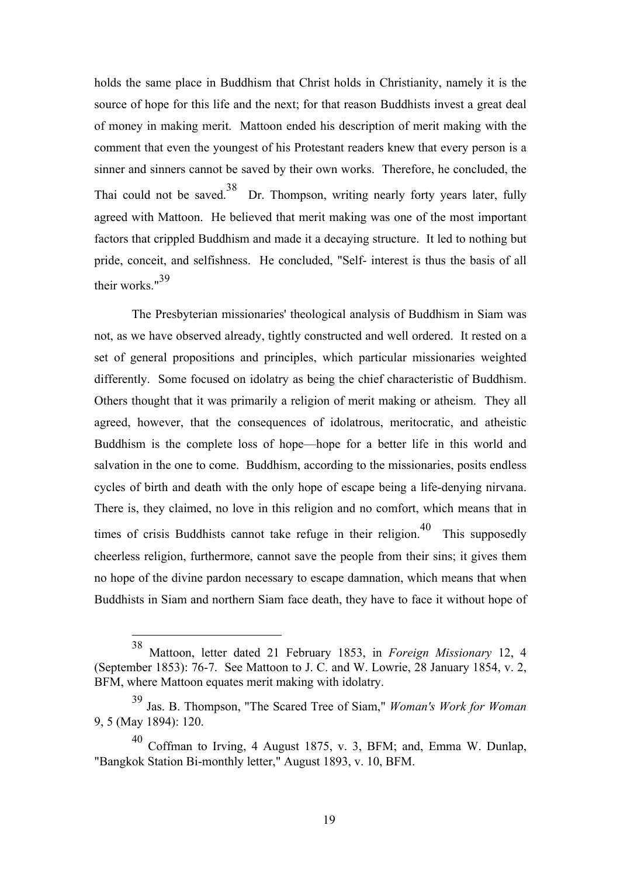holds the same place in Buddhism that Christ holds in Christianity, namely it is the source of hope for this life and the next; for that reason Buddhists invest a great deal of money in making merit. Mattoon ended his description of merit making with the comment that even the youngest of his Protestant readers knew that every person is a sinner and sinners cannot be saved by their own works. Therefore, he concluded, the Thai could not be saved.<sup>38</sup> Dr. Thompson, writing nearly forty years later, fully agreed with Mattoon. He believed that merit making was one of the most important factors that crippled Buddhism and made it a decaying structure. It led to nothing but pride, conceit, and selfishness. He concluded, "Self- interest is thus the basis of all their works."39

The Presbyterian missionaries' theological analysis of Buddhism in Siam was not, as we have observed already, tightly constructed and well ordered. It rested on a set of general propositions and principles, which particular missionaries weighted differently. Some focused on idolatry as being the chief characteristic of Buddhism. Others thought that it was primarily a religion of merit making or atheism. They all agreed, however, that the consequences of idolatrous, meritocratic, and atheistic Buddhism is the complete loss of hope—hope for a better life in this world and salvation in the one to come. Buddhism, according to the missionaries, posits endless cycles of birth and death with the only hope of escape being a life-denying nirvana. There is, they claimed, no love in this religion and no comfort, which means that in times of crisis Buddhists cannot take refuge in their religion.<sup>40</sup> This supposedly cheerless religion, furthermore, cannot save the people from their sins; it gives them no hope of the divine pardon necessary to escape damnation, which means that when Buddhists in Siam and northern Siam face death, they have to face it without hope of

 <sup>38</sup> Mattoon, letter dated 21 February 1853, in *Foreign Missionary* 12, 4 (September 1853): 76-7. See Mattoon to J. C. and W. Lowrie, 28 January 1854, v. 2, BFM, where Mattoon equates merit making with idolatry.

<sup>39</sup> Jas. B. Thompson, "The Scared Tree of Siam," *Woman's Work for Woman* 9, 5 (May 1894): 120.

Coffman to Irving, 4 August 1875, v. 3, BFM; and, Emma W. Dunlap, "Bangkok Station Bi-monthly letter," August 1893, v. 10, BFM.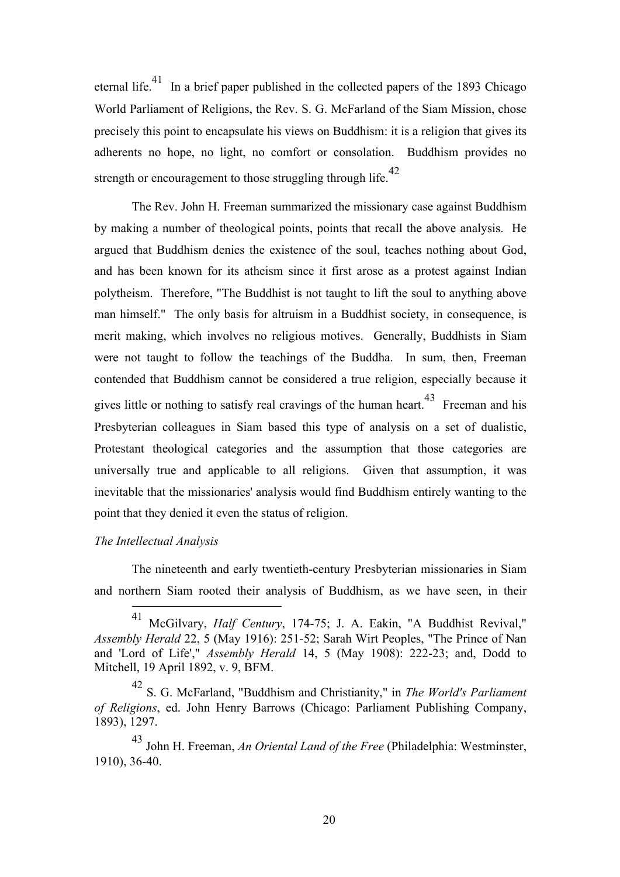eternal life.<sup>41</sup> In a brief paper published in the collected papers of the 1893 Chicago World Parliament of Religions, the Rev. S. G. McFarland of the Siam Mission, chose precisely this point to encapsulate his views on Buddhism: it is a religion that gives its adherents no hope, no light, no comfort or consolation. Buddhism provides no strength or encouragement to those struggling through life.<sup>42</sup>

The Rev. John H. Freeman summarized the missionary case against Buddhism by making a number of theological points, points that recall the above analysis. He argued that Buddhism denies the existence of the soul, teaches nothing about God, and has been known for its atheism since it first arose as a protest against Indian polytheism. Therefore, "The Buddhist is not taught to lift the soul to anything above man himself." The only basis for altruism in a Buddhist society, in consequence, is merit making, which involves no religious motives. Generally, Buddhists in Siam were not taught to follow the teachings of the Buddha. In sum, then, Freeman contended that Buddhism cannot be considered a true religion, especially because it gives little or nothing to satisfy real cravings of the human heart.<sup>43</sup> Freeman and his Presbyterian colleagues in Siam based this type of analysis on a set of dualistic, Protestant theological categories and the assumption that those categories are universally true and applicable to all religions. Given that assumption, it was inevitable that the missionaries' analysis would find Buddhism entirely wanting to the point that they denied it even the status of religion.

#### *The Intellectual Analysis*

The nineteenth and early twentieth-century Presbyterian missionaries in Siam and northern Siam rooted their analysis of Buddhism, as we have seen, in their

 <sup>41</sup> McGilvary, *Half Century*, 174-75; J. A. Eakin, "A Buddhist Revival," *Assembly Herald* 22, 5 (May 1916): 251-52; Sarah Wirt Peoples, "The Prince of Nan and 'Lord of Life'," *Assembly Herald* 14, 5 (May 1908): 222-23; and, Dodd to Mitchell, 19 April 1892, v. 9, BFM.

<sup>42</sup> S. G. McFarland, "Buddhism and Christianity," in *The World's Parliament of Religions*, ed. John Henry Barrows (Chicago: Parliament Publishing Company, 1893), 1297.

<sup>43</sup> John H. Freeman, *An Oriental Land of the Free* (Philadelphia: Westminster, 1910), 36-40.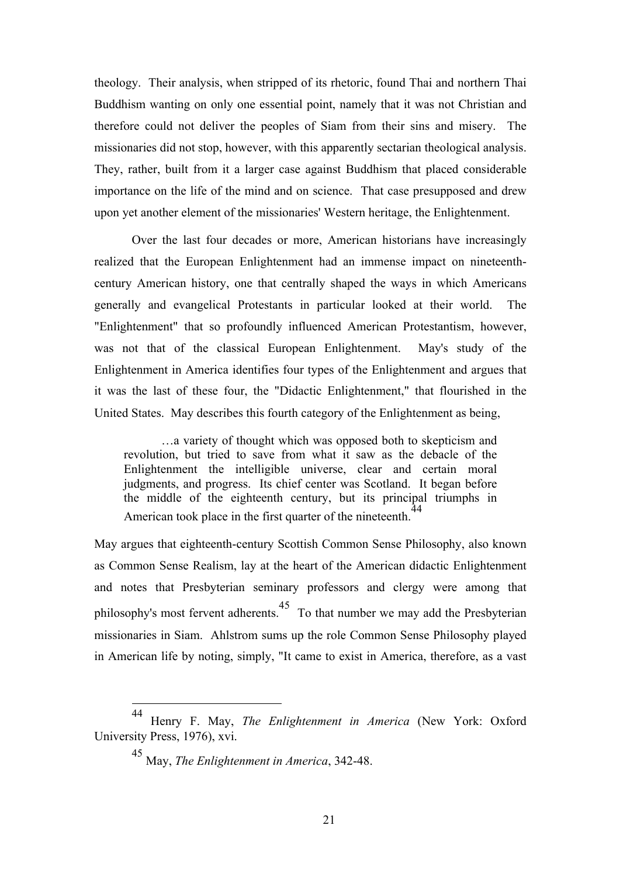theology. Their analysis, when stripped of its rhetoric, found Thai and northern Thai Buddhism wanting on only one essential point, namely that it was not Christian and therefore could not deliver the peoples of Siam from their sins and misery. The missionaries did not stop, however, with this apparently sectarian theological analysis. They, rather, built from it a larger case against Buddhism that placed considerable importance on the life of the mind and on science. That case presupposed and drew upon yet another element of the missionaries' Western heritage, the Enlightenment.

Over the last four decades or more, American historians have increasingly realized that the European Enlightenment had an immense impact on nineteenthcentury American history, one that centrally shaped the ways in which Americans generally and evangelical Protestants in particular looked at their world. The "Enlightenment" that so profoundly influenced American Protestantism, however, was not that of the classical European Enlightenment. May's study of the Enlightenment in America identifies four types of the Enlightenment and argues that it was the last of these four, the "Didactic Enlightenment," that flourished in the United States. May describes this fourth category of the Enlightenment as being,

…a variety of thought which was opposed both to skepticism and revolution, but tried to save from what it saw as the debacle of the Enlightenment the intelligible universe, clear and certain moral judgments, and progress. Its chief center was Scotland. It began before the middle of the eighteenth century, but its principal triumphs in American took place in the first quarter of the nineteenth.<sup>44</sup>

May argues that eighteenth-century Scottish Common Sense Philosophy, also known as Common Sense Realism, lay at the heart of the American didactic Enlightenment and notes that Presbyterian seminary professors and clergy were among that philosophy's most fervent adherents.45 To that number we may add the Presbyterian missionaries in Siam. Ahlstrom sums up the role Common Sense Philosophy played in American life by noting, simply, "It came to exist in America, therefore, as a vast

 <sup>44</sup> Henry F. May, *The Enlightenment in America* (New York: Oxford University Press, 1976), xvi.

<sup>45</sup> May, *The Enlightenment in America*, 342-48.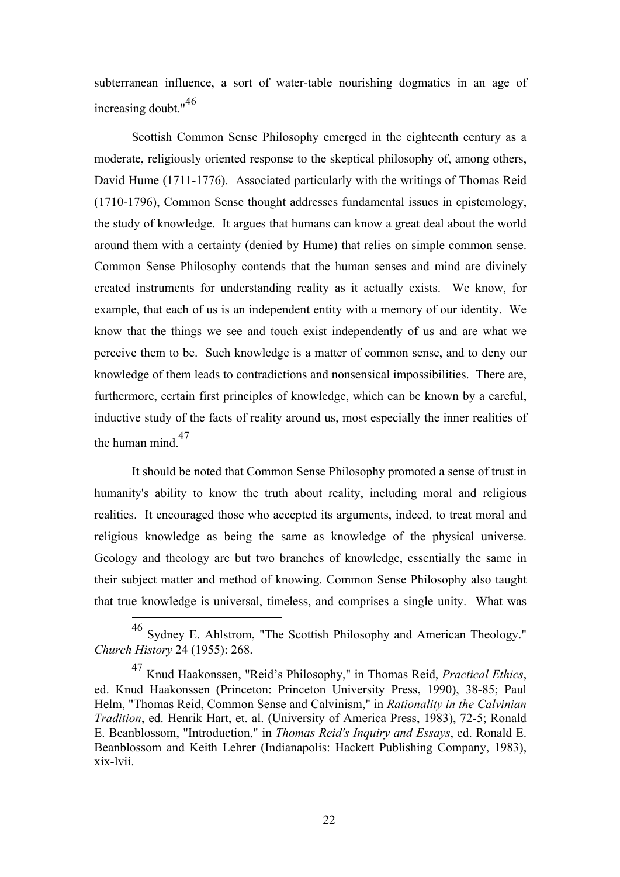subterranean influence, a sort of water-table nourishing dogmatics in an age of increasing doubt."<sup>46</sup>

Scottish Common Sense Philosophy emerged in the eighteenth century as a moderate, religiously oriented response to the skeptical philosophy of, among others, David Hume (1711-1776). Associated particularly with the writings of Thomas Reid (1710-1796), Common Sense thought addresses fundamental issues in epistemology, the study of knowledge. It argues that humans can know a great deal about the world around them with a certainty (denied by Hume) that relies on simple common sense. Common Sense Philosophy contends that the human senses and mind are divinely created instruments for understanding reality as it actually exists. We know, for example, that each of us is an independent entity with a memory of our identity. We know that the things we see and touch exist independently of us and are what we perceive them to be. Such knowledge is a matter of common sense, and to deny our knowledge of them leads to contradictions and nonsensical impossibilities. There are, furthermore, certain first principles of knowledge, which can be known by a careful, inductive study of the facts of reality around us, most especially the inner realities of the human mind.<sup>47</sup>

It should be noted that Common Sense Philosophy promoted a sense of trust in humanity's ability to know the truth about reality, including moral and religious realities. It encouraged those who accepted its arguments, indeed, to treat moral and religious knowledge as being the same as knowledge of the physical universe. Geology and theology are but two branches of knowledge, essentially the same in their subject matter and method of knowing. Common Sense Philosophy also taught that true knowledge is universal, timeless, and comprises a single unity. What was

 <sup>46</sup> Sydney E. Ahlstrom, "The Scottish Philosophy and American Theology." *Church History* 24 (1955): 268.

<sup>47</sup> Knud Haakonssen, "Reid's Philosophy," in Thomas Reid, *Practical Ethics*, ed. Knud Haakonssen (Princeton: Princeton University Press, 1990), 38-85; Paul Helm, "Thomas Reid, Common Sense and Calvinism," in *Rationality in the Calvinian Tradition*, ed. Henrik Hart, et. al. (University of America Press, 1983), 72-5; Ronald E. Beanblossom, "Introduction," in *Thomas Reid's Inquiry and Essays*, ed. Ronald E. Beanblossom and Keith Lehrer (Indianapolis: Hackett Publishing Company, 1983), xix-lvii.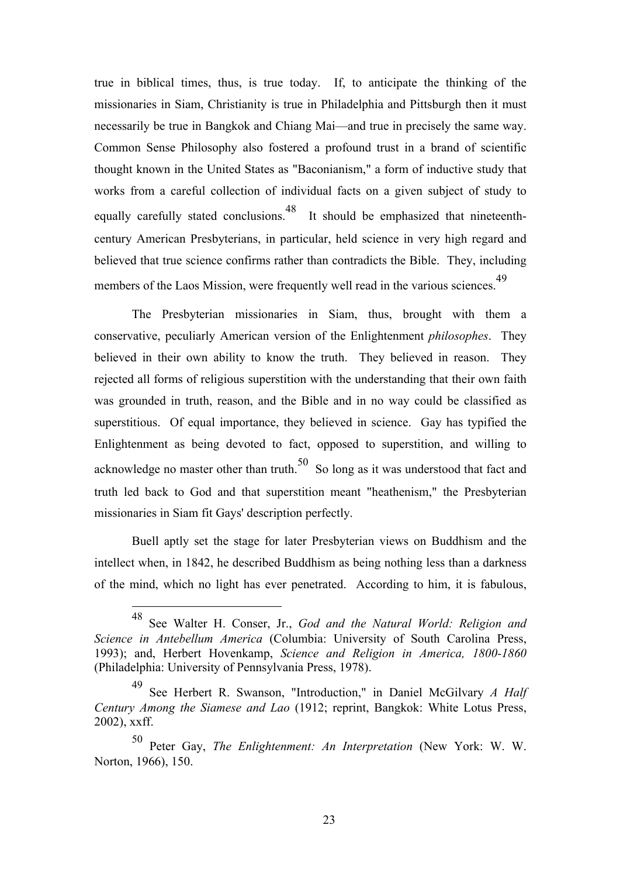true in biblical times, thus, is true today. If, to anticipate the thinking of the missionaries in Siam, Christianity is true in Philadelphia and Pittsburgh then it must necessarily be true in Bangkok and Chiang Mai—and true in precisely the same way. Common Sense Philosophy also fostered a profound trust in a brand of scientific thought known in the United States as "Baconianism," a form of inductive study that works from a careful collection of individual facts on a given subject of study to equally carefully stated conclusions.<sup>48</sup> It should be emphasized that nineteenthcentury American Presbyterians, in particular, held science in very high regard and believed that true science confirms rather than contradicts the Bible. They, including members of the Laos Mission, were frequently well read in the various sciences.<sup>49</sup>

The Presbyterian missionaries in Siam, thus, brought with them a conservative, peculiarly American version of the Enlightenment *philosophes*. They believed in their own ability to know the truth. They believed in reason. They rejected all forms of religious superstition with the understanding that their own faith was grounded in truth, reason, and the Bible and in no way could be classified as superstitious. Of equal importance, they believed in science. Gay has typified the Enlightenment as being devoted to fact, opposed to superstition, and willing to acknowledge no master other than truth.<sup>50</sup> So long as it was understood that fact and truth led back to God and that superstition meant "heathenism," the Presbyterian missionaries in Siam fit Gays' description perfectly.

Buell aptly set the stage for later Presbyterian views on Buddhism and the intellect when, in 1842, he described Buddhism as being nothing less than a darkness of the mind, which no light has ever penetrated. According to him, it is fabulous,

 <sup>48</sup> See Walter H. Conser, Jr., *God and the Natural World: Religion and Science in Antebellum America* (Columbia: University of South Carolina Press, 1993); and, Herbert Hovenkamp, *Science and Religion in America, 1800-1860* (Philadelphia: University of Pennsylvania Press, 1978).

<sup>49</sup> See Herbert R. Swanson, "Introduction," in Daniel McGilvary *A Half Century Among the Siamese and Lao* (1912; reprint, Bangkok: White Lotus Press, 2002), xxff.

<sup>50</sup> Peter Gay, *The Enlightenment: An Interpretation* (New York: W. W. Norton, 1966), 150.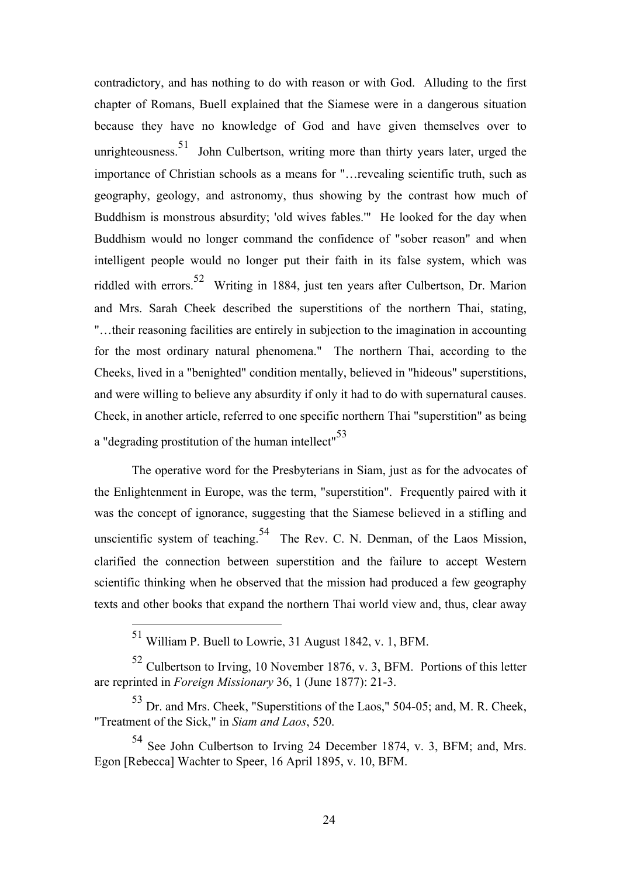contradictory, and has nothing to do with reason or with God. Alluding to the first chapter of Romans, Buell explained that the Siamese were in a dangerous situation because they have no knowledge of God and have given themselves over to unrighteousness.<sup>51</sup> John Culbertson, writing more than thirty years later, urged the importance of Christian schools as a means for "…revealing scientific truth, such as geography, geology, and astronomy, thus showing by the contrast how much of Buddhism is monstrous absurdity; 'old wives fables.'" He looked for the day when Buddhism would no longer command the confidence of "sober reason" and when intelligent people would no longer put their faith in its false system, which was riddled with errors.52 Writing in 1884, just ten years after Culbertson, Dr. Marion and Mrs. Sarah Cheek described the superstitions of the northern Thai, stating, "…their reasoning facilities are entirely in subjection to the imagination in accounting for the most ordinary natural phenomena." The northern Thai, according to the Cheeks, lived in a "benighted" condition mentally, believed in "hideous" superstitions, and were willing to believe any absurdity if only it had to do with supernatural causes. Cheek, in another article, referred to one specific northern Thai "superstition" as being a "degrading prostitution of the human intellect"<sup>53</sup>

The operative word for the Presbyterians in Siam, just as for the advocates of the Enlightenment in Europe, was the term, "superstition". Frequently paired with it was the concept of ignorance, suggesting that the Siamese believed in a stifling and unscientific system of teaching.<sup>54</sup> The Rev. C. N. Denman, of the Laos Mission, clarified the connection between superstition and the failure to accept Western scientific thinking when he observed that the mission had produced a few geography texts and other books that expand the northern Thai world view and, thus, clear away

 <sup>51</sup> William P. Buell to Lowrie, 31 August 1842, v. 1, BFM.

<sup>52</sup> Culbertson to Irving, 10 November 1876, v. 3, BFM. Portions of this letter are reprinted in *Foreign Missionary* 36, 1 (June 1877): 21-3.

<sup>53</sup> Dr. and Mrs. Cheek, "Superstitions of the Laos," 504-05; and, M. R. Cheek, "Treatment of the Sick," in *Siam and Laos*, 520.

<sup>54</sup> See John Culbertson to Irving 24 December 1874, v. 3, BFM; and, Mrs. Egon [Rebecca] Wachter to Speer, 16 April 1895, v. 10, BFM.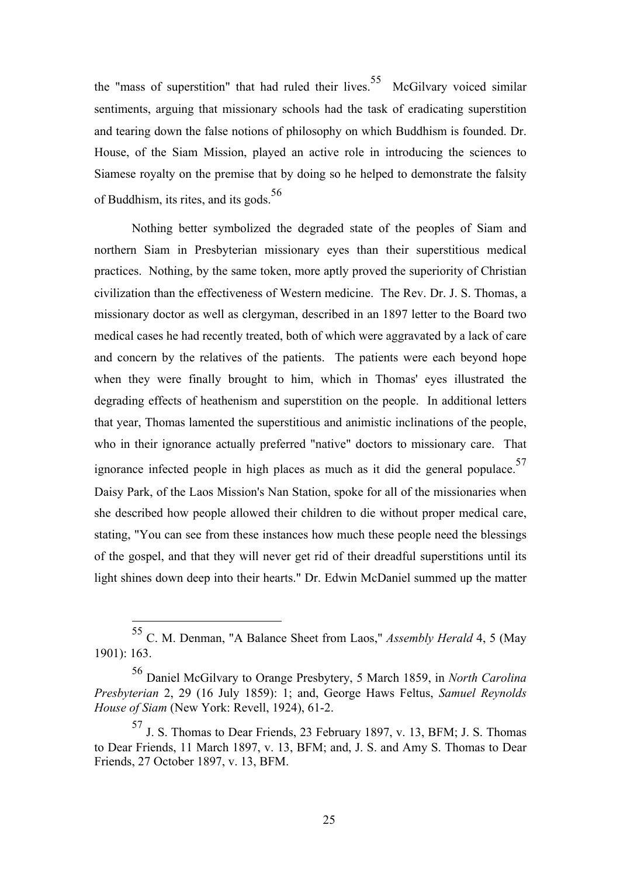the "mass of superstition" that had ruled their lives.<sup>55</sup> McGilvary voiced similar sentiments, arguing that missionary schools had the task of eradicating superstition and tearing down the false notions of philosophy on which Buddhism is founded. Dr. House, of the Siam Mission, played an active role in introducing the sciences to Siamese royalty on the premise that by doing so he helped to demonstrate the falsity of Buddhism, its rites, and its gods. $56$ 

Nothing better symbolized the degraded state of the peoples of Siam and northern Siam in Presbyterian missionary eyes than their superstitious medical practices. Nothing, by the same token, more aptly proved the superiority of Christian civilization than the effectiveness of Western medicine. The Rev. Dr. J. S. Thomas, a missionary doctor as well as clergyman, described in an 1897 letter to the Board two medical cases he had recently treated, both of which were aggravated by a lack of care and concern by the relatives of the patients. The patients were each beyond hope when they were finally brought to him, which in Thomas' eyes illustrated the degrading effects of heathenism and superstition on the people. In additional letters that year, Thomas lamented the superstitious and animistic inclinations of the people, who in their ignorance actually preferred "native" doctors to missionary care. That ignorance infected people in high places as much as it did the general populace.<sup>57</sup> Daisy Park, of the Laos Mission's Nan Station, spoke for all of the missionaries when she described how people allowed their children to die without proper medical care, stating, "You can see from these instances how much these people need the blessings of the gospel, and that they will never get rid of their dreadful superstitions until its light shines down deep into their hearts." Dr. Edwin McDaniel summed up the matter

 <sup>55</sup> C. M. Denman, "A Balance Sheet from Laos," *Assembly Herald* 4, 5 (May 1901): 163.

<sup>56</sup> Daniel McGilvary to Orange Presbytery, 5 March 1859, in *North Carolina Presbyterian* 2, 29 (16 July 1859): 1; and, George Haws Feltus, *Samuel Reynolds House of Siam* (New York: Revell, 1924), 61-2.

<sup>57</sup> J. S. Thomas to Dear Friends, 23 February 1897, v. 13, BFM; J. S. Thomas to Dear Friends, 11 March 1897, v. 13, BFM; and, J. S. and Amy S. Thomas to Dear Friends, 27 October 1897, v. 13, BFM.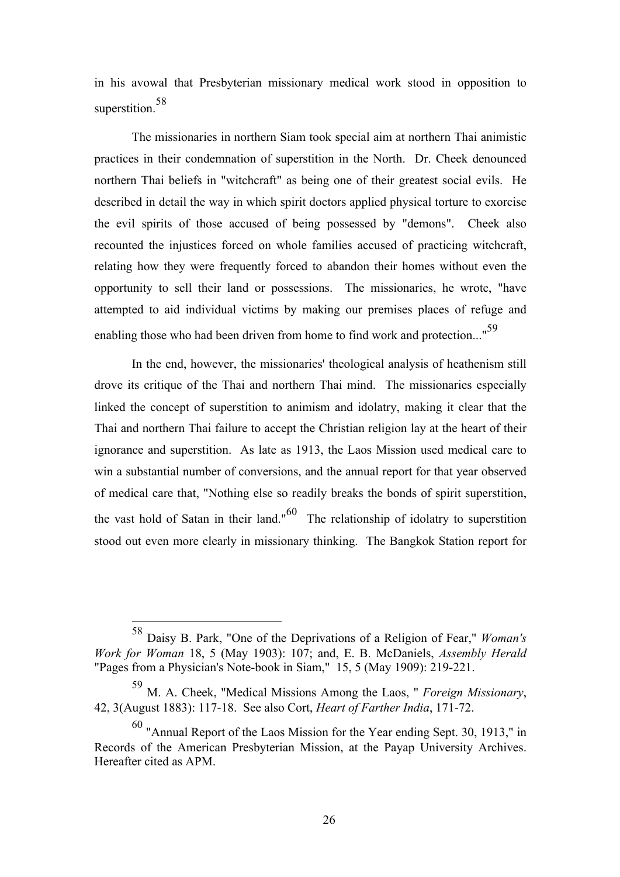in his avowal that Presbyterian missionary medical work stood in opposition to superstition.<sup>58</sup>

The missionaries in northern Siam took special aim at northern Thai animistic practices in their condemnation of superstition in the North. Dr. Cheek denounced northern Thai beliefs in "witchcraft" as being one of their greatest social evils. He described in detail the way in which spirit doctors applied physical torture to exorcise the evil spirits of those accused of being possessed by "demons". Cheek also recounted the injustices forced on whole families accused of practicing witchcraft, relating how they were frequently forced to abandon their homes without even the opportunity to sell their land or possessions. The missionaries, he wrote, "have attempted to aid individual victims by making our premises places of refuge and enabling those who had been driven from home to find work and protection..."<sup>59</sup>

In the end, however, the missionaries' theological analysis of heathenism still drove its critique of the Thai and northern Thai mind. The missionaries especially linked the concept of superstition to animism and idolatry, making it clear that the Thai and northern Thai failure to accept the Christian religion lay at the heart of their ignorance and superstition. As late as 1913, the Laos Mission used medical care to win a substantial number of conversions, and the annual report for that year observed of medical care that, "Nothing else so readily breaks the bonds of spirit superstition, the vast hold of Satan in their land." $^{60}$  The relationship of idolatry to superstition stood out even more clearly in missionary thinking. The Bangkok Station report for

 <sup>58</sup> Daisy B. Park, "One of the Deprivations of a Religion of Fear," *Woman's Work for Woman* 18, 5 (May 1903): 107; and, E. B. McDaniels, *Assembly Herald* "Pages from a Physician's Note-book in Siam," 15, 5 (May 1909): 219-221.

<sup>59</sup> M. A. Cheek, "Medical Missions Among the Laos, " *Foreign Missionary*, 42, 3(August 1883): 117-18. See also Cort, *Heart of Farther India*, 171-72.

<sup>&</sup>lt;sup>60</sup> "Annual Report of the Laos Mission for the Year ending Sept. 30, 1913," in Records of the American Presbyterian Mission, at the Payap University Archives. Hereafter cited as APM.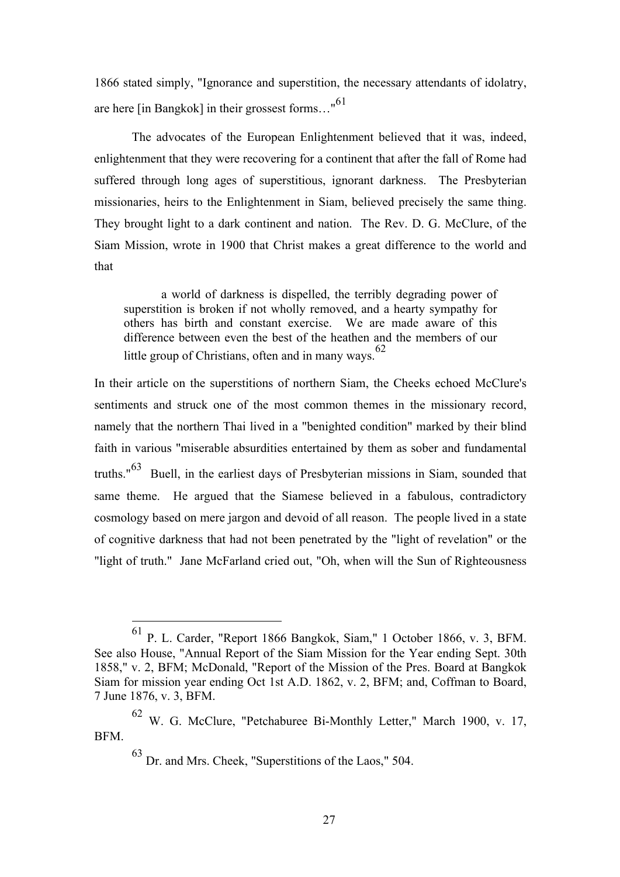1866 stated simply, "Ignorance and superstition, the necessary attendants of idolatry, are here [in Bangkok] in their grossest forms…"<sup>61</sup>

The advocates of the European Enlightenment believed that it was, indeed, enlightenment that they were recovering for a continent that after the fall of Rome had suffered through long ages of superstitious, ignorant darkness. The Presbyterian missionaries, heirs to the Enlightenment in Siam, believed precisely the same thing. They brought light to a dark continent and nation. The Rev. D. G. McClure, of the Siam Mission, wrote in 1900 that Christ makes a great difference to the world and that

a world of darkness is dispelled, the terribly degrading power of superstition is broken if not wholly removed, and a hearty sympathy for others has birth and constant exercise. We are made aware of this difference between even the best of the heathen and the members of our little group of Christians, often and in many ways.<sup>62</sup>

In their article on the superstitions of northern Siam, the Cheeks echoed McClure's sentiments and struck one of the most common themes in the missionary record, namely that the northern Thai lived in a "benighted condition" marked by their blind faith in various "miserable absurdities entertained by them as sober and fundamental truths."63 Buell, in the earliest days of Presbyterian missions in Siam, sounded that same theme. He argued that the Siamese believed in a fabulous, contradictory cosmology based on mere jargon and devoid of all reason. The people lived in a state of cognitive darkness that had not been penetrated by the "light of revelation" or the "light of truth." Jane McFarland cried out, "Oh, when will the Sun of Righteousness

 <sup>61</sup> P. L. Carder, "Report 1866 Bangkok, Siam," 1 October 1866, v. 3, BFM. See also House, "Annual Report of the Siam Mission for the Year ending Sept. 30th 1858," v. 2, BFM; McDonald, "Report of the Mission of the Pres. Board at Bangkok Siam for mission year ending Oct 1st A.D. 1862, v. 2, BFM; and, Coffman to Board, 7 June 1876, v. 3, BFM.

<sup>62</sup> W. G. McClure, "Petchaburee Bi-Monthly Letter," March 1900, v. 17, BFM.

<sup>63</sup> Dr. and Mrs. Cheek, "Superstitions of the Laos," 504.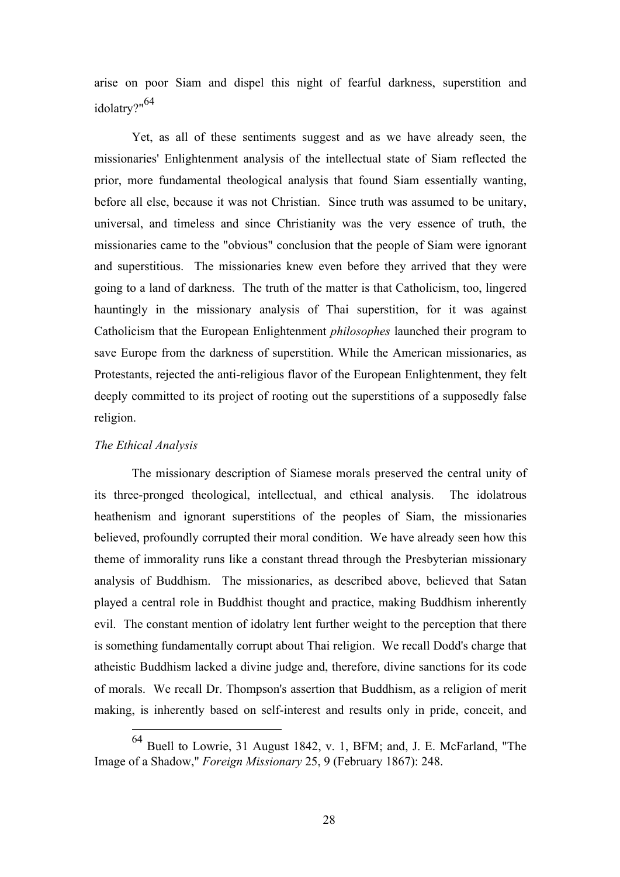arise on poor Siam and dispel this night of fearful darkness, superstition and idolatry?"64

Yet, as all of these sentiments suggest and as we have already seen, the missionaries' Enlightenment analysis of the intellectual state of Siam reflected the prior, more fundamental theological analysis that found Siam essentially wanting, before all else, because it was not Christian. Since truth was assumed to be unitary, universal, and timeless and since Christianity was the very essence of truth, the missionaries came to the "obvious" conclusion that the people of Siam were ignorant and superstitious. The missionaries knew even before they arrived that they were going to a land of darkness. The truth of the matter is that Catholicism, too, lingered hauntingly in the missionary analysis of Thai superstition, for it was against Catholicism that the European Enlightenment *philosophes* launched their program to save Europe from the darkness of superstition. While the American missionaries, as Protestants, rejected the anti-religious flavor of the European Enlightenment, they felt deeply committed to its project of rooting out the superstitions of a supposedly false religion.

# *The Ethical Analysis*

The missionary description of Siamese morals preserved the central unity of its three-pronged theological, intellectual, and ethical analysis. The idolatrous heathenism and ignorant superstitions of the peoples of Siam, the missionaries believed, profoundly corrupted their moral condition. We have already seen how this theme of immorality runs like a constant thread through the Presbyterian missionary analysis of Buddhism. The missionaries, as described above, believed that Satan played a central role in Buddhist thought and practice, making Buddhism inherently evil. The constant mention of idolatry lent further weight to the perception that there is something fundamentally corrupt about Thai religion. We recall Dodd's charge that atheistic Buddhism lacked a divine judge and, therefore, divine sanctions for its code of morals. We recall Dr. Thompson's assertion that Buddhism, as a religion of merit making, is inherently based on self-interest and results only in pride, conceit, and

Buell to Lowrie, 31 August 1842, v. 1, BFM; and, J. E. McFarland, "The Image of a Shadow," *Foreign Missionary* 25, 9 (February 1867): 248.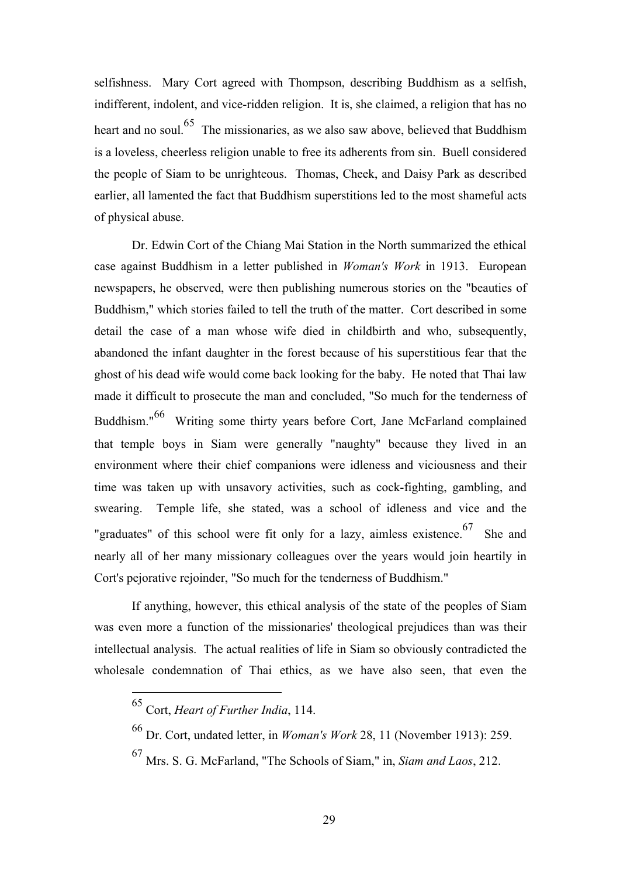selfishness. Mary Cort agreed with Thompson, describing Buddhism as a selfish, indifferent, indolent, and vice-ridden religion. It is, she claimed, a religion that has no heart and no soul.<sup>65</sup> The missionaries, as we also saw above, believed that Buddhism is a loveless, cheerless religion unable to free its adherents from sin. Buell considered the people of Siam to be unrighteous. Thomas, Cheek, and Daisy Park as described earlier, all lamented the fact that Buddhism superstitions led to the most shameful acts of physical abuse.

Dr. Edwin Cort of the Chiang Mai Station in the North summarized the ethical case against Buddhism in a letter published in *Woman's Work* in 1913. European newspapers, he observed, were then publishing numerous stories on the "beauties of Buddhism," which stories failed to tell the truth of the matter. Cort described in some detail the case of a man whose wife died in childbirth and who, subsequently, abandoned the infant daughter in the forest because of his superstitious fear that the ghost of his dead wife would come back looking for the baby. He noted that Thai law made it difficult to prosecute the man and concluded, "So much for the tenderness of Buddhism."66 Writing some thirty years before Cort, Jane McFarland complained that temple boys in Siam were generally "naughty" because they lived in an environment where their chief companions were idleness and viciousness and their time was taken up with unsavory activities, such as cock-fighting, gambling, and swearing. Temple life, she stated, was a school of idleness and vice and the "graduates" of this school were fit only for a lazy, aimless existence.<sup>67</sup> She and nearly all of her many missionary colleagues over the years would join heartily in Cort's pejorative rejoinder, "So much for the tenderness of Buddhism."

If anything, however, this ethical analysis of the state of the peoples of Siam was even more a function of the missionaries' theological prejudices than was their intellectual analysis. The actual realities of life in Siam so obviously contradicted the wholesale condemnation of Thai ethics, as we have also seen, that even the

<sup>67</sup> Mrs. S. G. McFarland, "The Schools of Siam," in, *Siam and Laos*, 212.

 <sup>65</sup> Cort, *Heart of Further India*, 114.

<sup>66</sup> Dr. Cort, undated letter, in *Woman's Work* 28, 11 (November 1913): 259.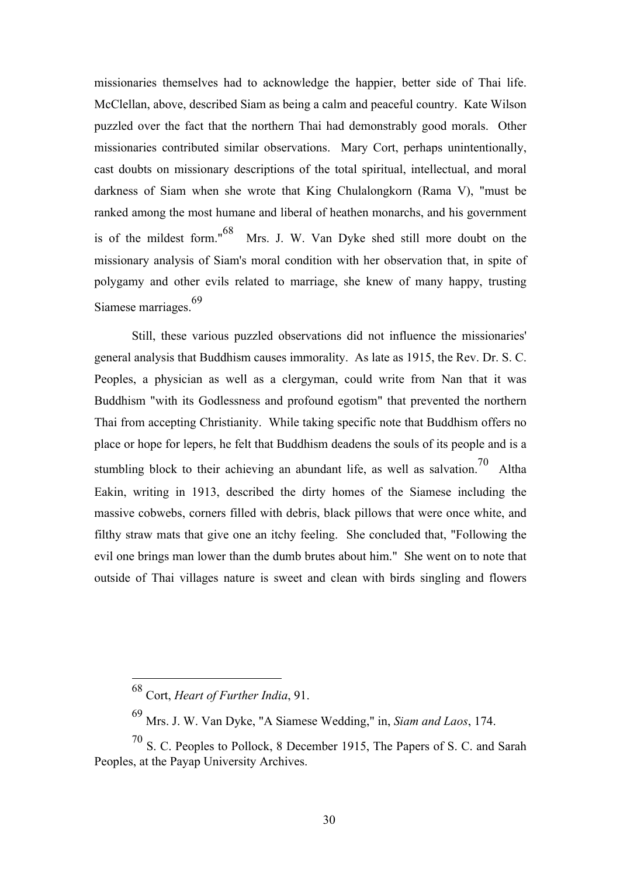missionaries themselves had to acknowledge the happier, better side of Thai life. McClellan, above, described Siam as being a calm and peaceful country. Kate Wilson puzzled over the fact that the northern Thai had demonstrably good morals. Other missionaries contributed similar observations. Mary Cort, perhaps unintentionally, cast doubts on missionary descriptions of the total spiritual, intellectual, and moral darkness of Siam when she wrote that King Chulalongkorn (Rama V), "must be ranked among the most humane and liberal of heathen monarchs, and his government is of the mildest form."68 Mrs. J. W. Van Dyke shed still more doubt on the missionary analysis of Siam's moral condition with her observation that, in spite of polygamy and other evils related to marriage, she knew of many happy, trusting Siamese marriages.<sup>69</sup>

Still, these various puzzled observations did not influence the missionaries' general analysis that Buddhism causes immorality. As late as 1915, the Rev. Dr. S. C. Peoples, a physician as well as a clergyman, could write from Nan that it was Buddhism "with its Godlessness and profound egotism" that prevented the northern Thai from accepting Christianity. While taking specific note that Buddhism offers no place or hope for lepers, he felt that Buddhism deadens the souls of its people and is a stumbling block to their achieving an abundant life, as well as salvation.<sup>70</sup> Altha Eakin, writing in 1913, described the dirty homes of the Siamese including the massive cobwebs, corners filled with debris, black pillows that were once white, and filthy straw mats that give one an itchy feeling. She concluded that, "Following the evil one brings man lower than the dumb brutes about him." She went on to note that outside of Thai villages nature is sweet and clean with birds singling and flowers

 <sup>68</sup> Cort, *Heart of Further India*, 91.

<sup>69</sup> Mrs. J. W. Van Dyke, "A Siamese Wedding," in, *Siam and Laos*, 174.

<sup>70</sup> S. C. Peoples to Pollock, 8 December 1915, The Papers of S. C. and Sarah Peoples, at the Payap University Archives.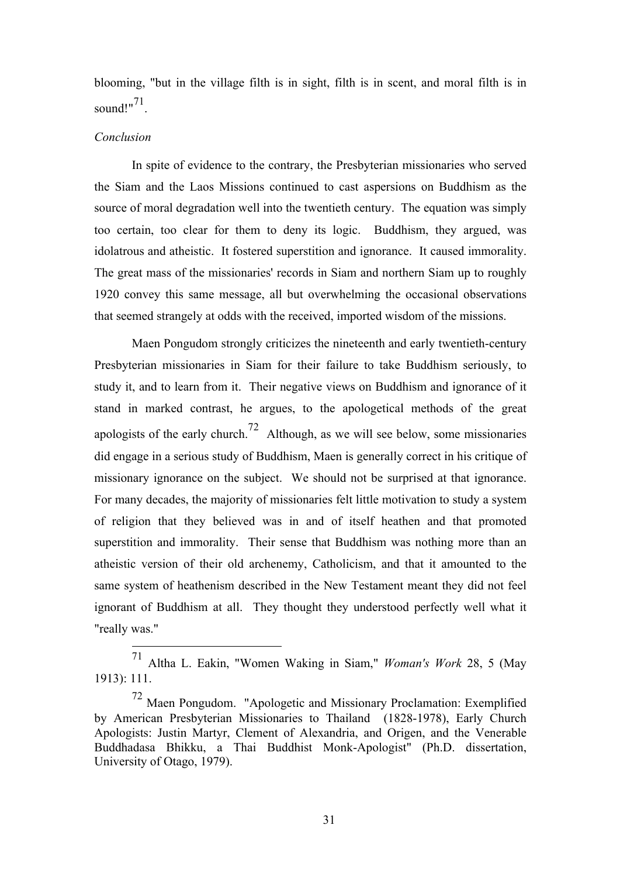blooming, "but in the village filth is in sight, filth is in scent, and moral filth is in sound!"<sup>71</sup>.

### *Conclusion*

In spite of evidence to the contrary, the Presbyterian missionaries who served the Siam and the Laos Missions continued to cast aspersions on Buddhism as the source of moral degradation well into the twentieth century. The equation was simply too certain, too clear for them to deny its logic. Buddhism, they argued, was idolatrous and atheistic. It fostered superstition and ignorance. It caused immorality. The great mass of the missionaries' records in Siam and northern Siam up to roughly 1920 convey this same message, all but overwhelming the occasional observations that seemed strangely at odds with the received, imported wisdom of the missions.

Maen Pongudom strongly criticizes the nineteenth and early twentieth-century Presbyterian missionaries in Siam for their failure to take Buddhism seriously, to study it, and to learn from it. Their negative views on Buddhism and ignorance of it stand in marked contrast, he argues, to the apologetical methods of the great apologists of the early church.<sup>72</sup> Although, as we will see below, some missionaries did engage in a serious study of Buddhism, Maen is generally correct in his critique of missionary ignorance on the subject. We should not be surprised at that ignorance. For many decades, the majority of missionaries felt little motivation to study a system of religion that they believed was in and of itself heathen and that promoted superstition and immorality. Their sense that Buddhism was nothing more than an atheistic version of their old archenemy, Catholicism, and that it amounted to the same system of heathenism described in the New Testament meant they did not feel ignorant of Buddhism at all. They thought they understood perfectly well what it "really was."

 <sup>71</sup> Altha L. Eakin, "Women Waking in Siam," *Woman's Work* 28, 5 (May 1913): 111.

<sup>72</sup> Maen Pongudom. "Apologetic and Missionary Proclamation: Exemplified by American Presbyterian Missionaries to Thailand (1828-1978), Early Church Apologists: Justin Martyr, Clement of Alexandria, and Origen, and the Venerable Buddhadasa Bhikku, a Thai Buddhist Monk-Apologist" (Ph.D. dissertation, University of Otago, 1979).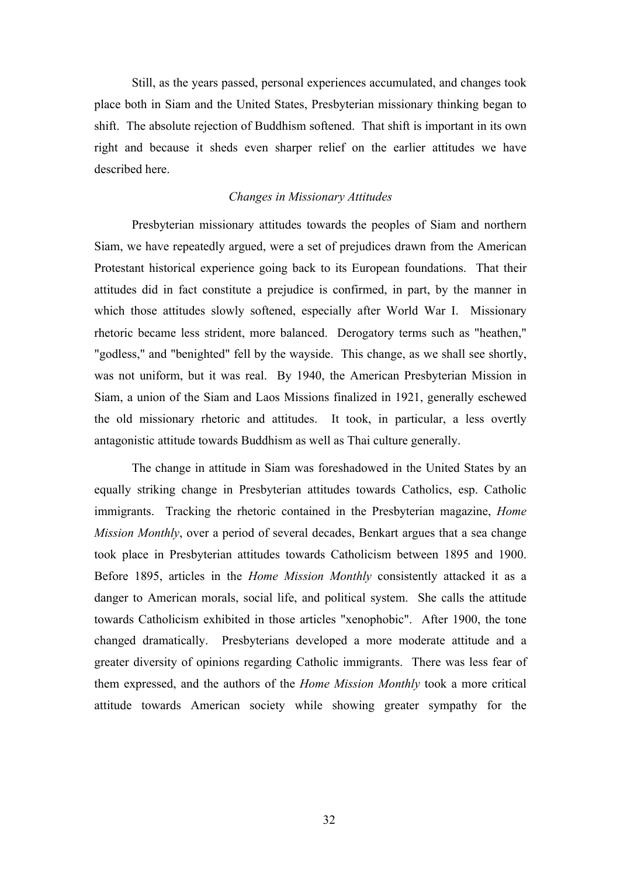Still, as the years passed, personal experiences accumulated, and changes took place both in Siam and the United States, Presbyterian missionary thinking began to shift. The absolute rejection of Buddhism softened. That shift is important in its own right and because it sheds even sharper relief on the earlier attitudes we have described here.

### *Changes in Missionary Attitudes*

Presbyterian missionary attitudes towards the peoples of Siam and northern Siam, we have repeatedly argued, were a set of prejudices drawn from the American Protestant historical experience going back to its European foundations. That their attitudes did in fact constitute a prejudice is confirmed, in part, by the manner in which those attitudes slowly softened, especially after World War I. Missionary rhetoric became less strident, more balanced. Derogatory terms such as "heathen," "godless," and "benighted" fell by the wayside. This change, as we shall see shortly, was not uniform, but it was real. By 1940, the American Presbyterian Mission in Siam, a union of the Siam and Laos Missions finalized in 1921, generally eschewed the old missionary rhetoric and attitudes. It took, in particular, a less overtly antagonistic attitude towards Buddhism as well as Thai culture generally.

The change in attitude in Siam was foreshadowed in the United States by an equally striking change in Presbyterian attitudes towards Catholics, esp. Catholic immigrants. Tracking the rhetoric contained in the Presbyterian magazine, *Home Mission Monthly*, over a period of several decades, Benkart argues that a sea change took place in Presbyterian attitudes towards Catholicism between 1895 and 1900. Before 1895, articles in the *Home Mission Monthly* consistently attacked it as a danger to American morals, social life, and political system. She calls the attitude towards Catholicism exhibited in those articles "xenophobic". After 1900, the tone changed dramatically. Presbyterians developed a more moderate attitude and a greater diversity of opinions regarding Catholic immigrants. There was less fear of them expressed, and the authors of the *Home Mission Monthly* took a more critical attitude towards American society while showing greater sympathy for the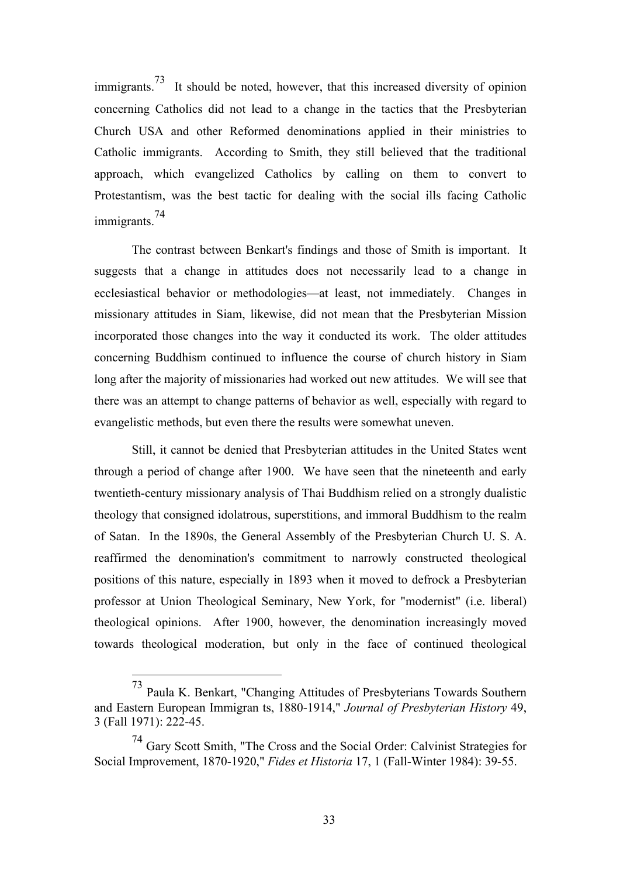immigrants.<sup>73</sup> It should be noted, however, that this increased diversity of opinion concerning Catholics did not lead to a change in the tactics that the Presbyterian Church USA and other Reformed denominations applied in their ministries to Catholic immigrants. According to Smith, they still believed that the traditional approach, which evangelized Catholics by calling on them to convert to Protestantism, was the best tactic for dealing with the social ills facing Catholic immigrants.<sup>74</sup>

The contrast between Benkart's findings and those of Smith is important. It suggests that a change in attitudes does not necessarily lead to a change in ecclesiastical behavior or methodologies—at least, not immediately. Changes in missionary attitudes in Siam, likewise, did not mean that the Presbyterian Mission incorporated those changes into the way it conducted its work. The older attitudes concerning Buddhism continued to influence the course of church history in Siam long after the majority of missionaries had worked out new attitudes. We will see that there was an attempt to change patterns of behavior as well, especially with regard to evangelistic methods, but even there the results were somewhat uneven.

Still, it cannot be denied that Presbyterian attitudes in the United States went through a period of change after 1900. We have seen that the nineteenth and early twentieth-century missionary analysis of Thai Buddhism relied on a strongly dualistic theology that consigned idolatrous, superstitions, and immoral Buddhism to the realm of Satan. In the 1890s, the General Assembly of the Presbyterian Church U. S. A. reaffirmed the denomination's commitment to narrowly constructed theological positions of this nature, especially in 1893 when it moved to defrock a Presbyterian professor at Union Theological Seminary, New York, for "modernist" (i.e. liberal) theological opinions. After 1900, however, the denomination increasingly moved towards theological moderation, but only in the face of continued theological

 <sup>73</sup> Paula K. Benkart, "Changing Attitudes of Presbyterians Towards Southern and Eastern European Immigran ts, 1880-1914," *Journal of Presbyterian History* 49, 3 (Fall 1971): 222-45.

<sup>74</sup> Gary Scott Smith, "The Cross and the Social Order: Calvinist Strategies for Social Improvement, 1870-1920," *Fides et Historia* 17, 1 (Fall-Winter 1984): 39-55.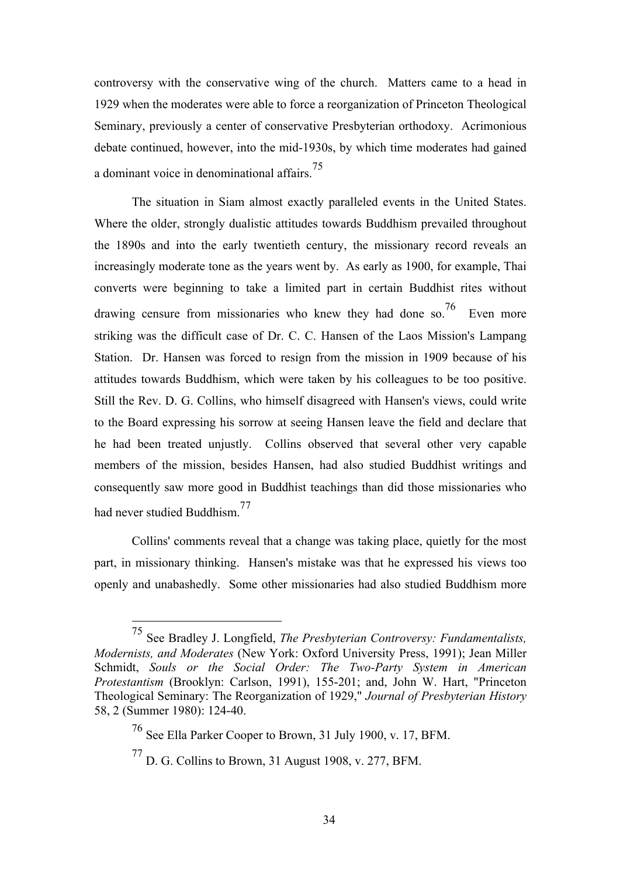controversy with the conservative wing of the church. Matters came to a head in 1929 when the moderates were able to force a reorganization of Princeton Theological Seminary, previously a center of conservative Presbyterian orthodoxy. Acrimonious debate continued, however, into the mid-1930s, by which time moderates had gained a dominant voice in denominational affairs.<sup>75</sup>

The situation in Siam almost exactly paralleled events in the United States. Where the older, strongly dualistic attitudes towards Buddhism prevailed throughout the 1890s and into the early twentieth century, the missionary record reveals an increasingly moderate tone as the years went by. As early as 1900, for example, Thai converts were beginning to take a limited part in certain Buddhist rites without drawing censure from missionaries who knew they had done so.<sup>76</sup> Even more striking was the difficult case of Dr. C. C. Hansen of the Laos Mission's Lampang Station. Dr. Hansen was forced to resign from the mission in 1909 because of his attitudes towards Buddhism, which were taken by his colleagues to be too positive. Still the Rev. D. G. Collins, who himself disagreed with Hansen's views, could write to the Board expressing his sorrow at seeing Hansen leave the field and declare that he had been treated unjustly. Collins observed that several other very capable members of the mission, besides Hansen, had also studied Buddhist writings and consequently saw more good in Buddhist teachings than did those missionaries who had never studied Buddhism.77

Collins' comments reveal that a change was taking place, quietly for the most part, in missionary thinking. Hansen's mistake was that he expressed his views too openly and unabashedly. Some other missionaries had also studied Buddhism more

 <sup>75</sup> See Bradley J. Longfield, *The Presbyterian Controversy: Fundamentalists, Modernists, and Moderates* (New York: Oxford University Press, 1991); Jean Miller Schmidt, *Souls or the Social Order: The Two-Party System in American Protestantism* (Brooklyn: Carlson, 1991), 155-201; and, John W. Hart, "Princeton Theological Seminary: The Reorganization of 1929," *Journal of Presbyterian History* 58, 2 (Summer 1980): 124-40.

<sup>76</sup> See Ella Parker Cooper to Brown, 31 July 1900, v. 17, BFM.

 $^{77}$  D. G. Collins to Brown, 31 August 1908, v. 277, BFM.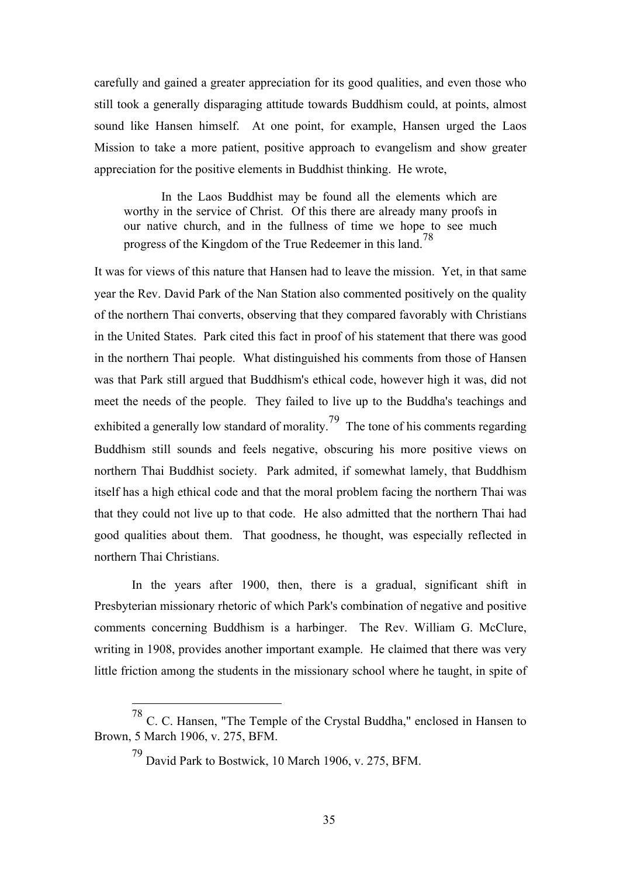carefully and gained a greater appreciation for its good qualities, and even those who still took a generally disparaging attitude towards Buddhism could, at points, almost sound like Hansen himself. At one point, for example, Hansen urged the Laos Mission to take a more patient, positive approach to evangelism and show greater appreciation for the positive elements in Buddhist thinking. He wrote,

In the Laos Buddhist may be found all the elements which are worthy in the service of Christ. Of this there are already many proofs in our native church, and in the fullness of time we hope to see much progress of the Kingdom of the True Redeemer in this land.<sup>78</sup>

It was for views of this nature that Hansen had to leave the mission. Yet, in that same year the Rev. David Park of the Nan Station also commented positively on the quality of the northern Thai converts, observing that they compared favorably with Christians in the United States. Park cited this fact in proof of his statement that there was good in the northern Thai people. What distinguished his comments from those of Hansen was that Park still argued that Buddhism's ethical code, however high it was, did not meet the needs of the people. They failed to live up to the Buddha's teachings and exhibited a generally low standard of morality.<sup>79</sup> The tone of his comments regarding Buddhism still sounds and feels negative, obscuring his more positive views on northern Thai Buddhist society. Park admited, if somewhat lamely, that Buddhism itself has a high ethical code and that the moral problem facing the northern Thai was that they could not live up to that code. He also admitted that the northern Thai had good qualities about them. That goodness, he thought, was especially reflected in northern Thai Christians.

In the years after 1900, then, there is a gradual, significant shift in Presbyterian missionary rhetoric of which Park's combination of negative and positive comments concerning Buddhism is a harbinger. The Rev. William G. McClure, writing in 1908, provides another important example. He claimed that there was very little friction among the students in the missionary school where he taught, in spite of

 <sup>78</sup> C. C. Hansen, "The Temple of the Crystal Buddha," enclosed in Hansen to Brown, 5 March 1906, v. 275, BFM.

 $^{79}$  David Park to Bostwick, 10 March 1906, v. 275, BFM.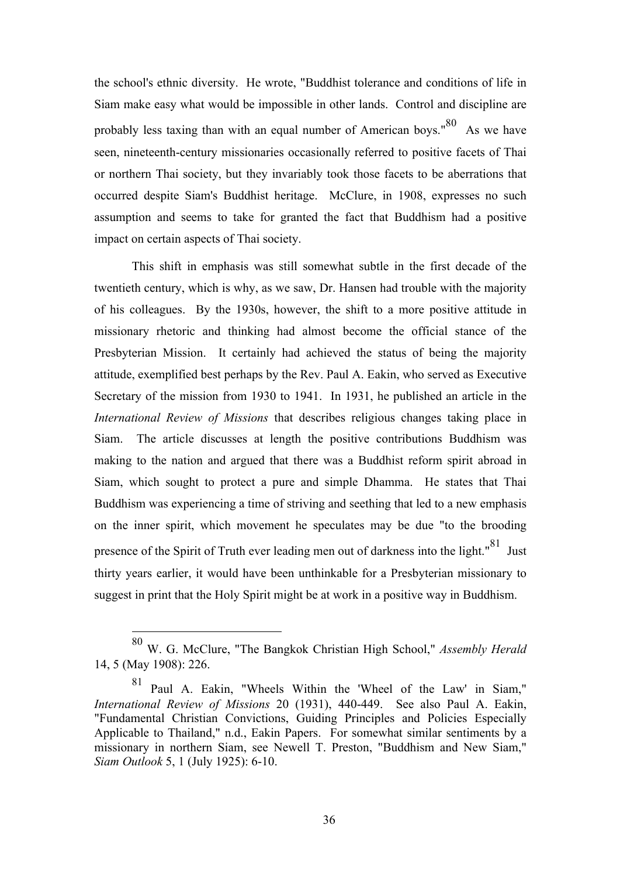the school's ethnic diversity. He wrote, "Buddhist tolerance and conditions of life in Siam make easy what would be impossible in other lands. Control and discipline are probably less taxing than with an equal number of American boys."<sup>80</sup> As we have seen, nineteenth-century missionaries occasionally referred to positive facets of Thai or northern Thai society, but they invariably took those facets to be aberrations that occurred despite Siam's Buddhist heritage. McClure, in 1908, expresses no such assumption and seems to take for granted the fact that Buddhism had a positive impact on certain aspects of Thai society.

This shift in emphasis was still somewhat subtle in the first decade of the twentieth century, which is why, as we saw, Dr. Hansen had trouble with the majority of his colleagues. By the 1930s, however, the shift to a more positive attitude in missionary rhetoric and thinking had almost become the official stance of the Presbyterian Mission. It certainly had achieved the status of being the majority attitude, exemplified best perhaps by the Rev. Paul A. Eakin, who served as Executive Secretary of the mission from 1930 to 1941. In 1931, he published an article in the *International Review of Missions* that describes religious changes taking place in Siam. The article discusses at length the positive contributions Buddhism was making to the nation and argued that there was a Buddhist reform spirit abroad in Siam, which sought to protect a pure and simple Dhamma. He states that Thai Buddhism was experiencing a time of striving and seething that led to a new emphasis on the inner spirit, which movement he speculates may be due "to the brooding presence of the Spirit of Truth ever leading men out of darkness into the light."<sup>81</sup> Just thirty years earlier, it would have been unthinkable for a Presbyterian missionary to suggest in print that the Holy Spirit might be at work in a positive way in Buddhism.

 <sup>80</sup> W. G. McClure, "The Bangkok Christian High School," *Assembly Herald* 14, 5 (May 1908): 226.

<sup>81</sup> Paul A. Eakin, "Wheels Within the 'Wheel of the Law' in Siam," *International Review of Missions* 20 (1931), 440-449. See also Paul A. Eakin, "Fundamental Christian Convictions, Guiding Principles and Policies Especially Applicable to Thailand," n.d., Eakin Papers. For somewhat similar sentiments by a missionary in northern Siam, see Newell T. Preston, "Buddhism and New Siam," *Siam Outlook* 5, 1 (July 1925): 6-10.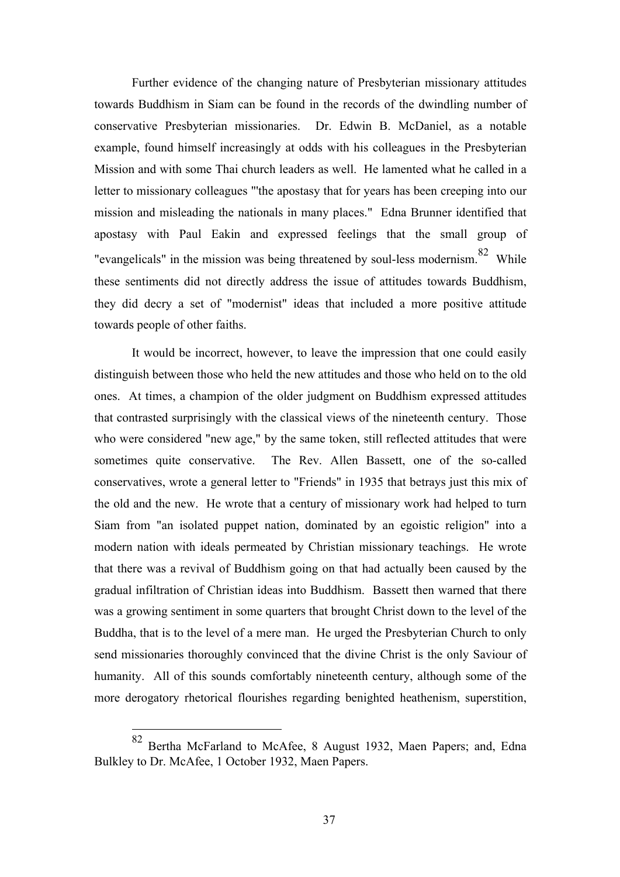Further evidence of the changing nature of Presbyterian missionary attitudes towards Buddhism in Siam can be found in the records of the dwindling number of conservative Presbyterian missionaries. Dr. Edwin B. McDaniel, as a notable example, found himself increasingly at odds with his colleagues in the Presbyterian Mission and with some Thai church leaders as well. He lamented what he called in a letter to missionary colleagues "'the apostasy that for years has been creeping into our mission and misleading the nationals in many places." Edna Brunner identified that apostasy with Paul Eakin and expressed feelings that the small group of "evangelicals" in the mission was being threatened by soul-less modernism.<sup>82</sup> While these sentiments did not directly address the issue of attitudes towards Buddhism, they did decry a set of "modernist" ideas that included a more positive attitude towards people of other faiths.

It would be incorrect, however, to leave the impression that one could easily distinguish between those who held the new attitudes and those who held on to the old ones. At times, a champion of the older judgment on Buddhism expressed attitudes that contrasted surprisingly with the classical views of the nineteenth century. Those who were considered "new age," by the same token, still reflected attitudes that were sometimes quite conservative. The Rev. Allen Bassett, one of the so-called conservatives, wrote a general letter to "Friends" in 1935 that betrays just this mix of the old and the new. He wrote that a century of missionary work had helped to turn Siam from "an isolated puppet nation, dominated by an egoistic religion" into a modern nation with ideals permeated by Christian missionary teachings. He wrote that there was a revival of Buddhism going on that had actually been caused by the gradual infiltration of Christian ideas into Buddhism. Bassett then warned that there was a growing sentiment in some quarters that brought Christ down to the level of the Buddha, that is to the level of a mere man. He urged the Presbyterian Church to only send missionaries thoroughly convinced that the divine Christ is the only Saviour of humanity. All of this sounds comfortably nineteenth century, although some of the more derogatory rhetorical flourishes regarding benighted heathenism, superstition,

Bertha McFarland to McAfee, 8 August 1932, Maen Papers; and, Edna Bulkley to Dr. McAfee, 1 October 1932, Maen Papers.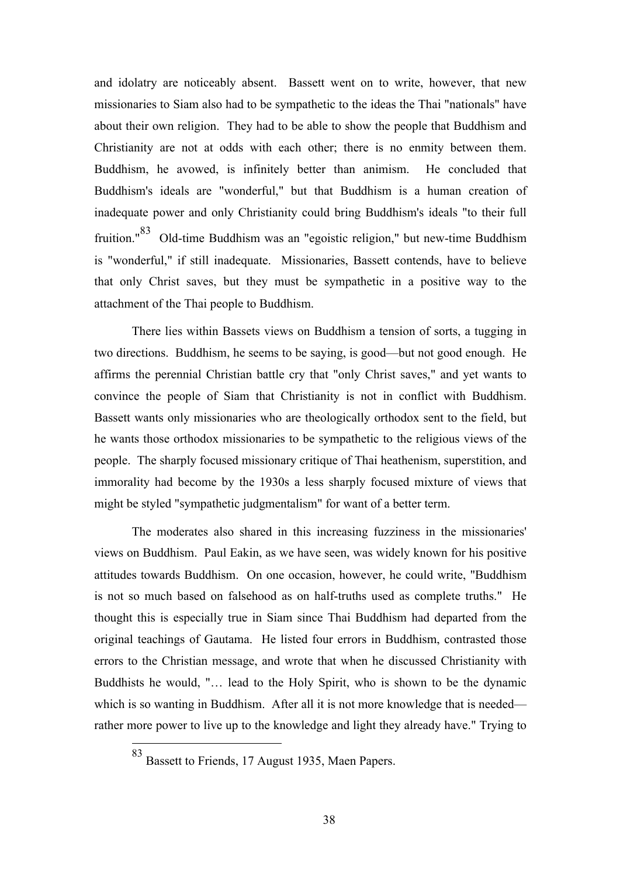and idolatry are noticeably absent. Bassett went on to write, however, that new missionaries to Siam also had to be sympathetic to the ideas the Thai "nationals" have about their own religion. They had to be able to show the people that Buddhism and Christianity are not at odds with each other; there is no enmity between them. Buddhism, he avowed, is infinitely better than animism. He concluded that Buddhism's ideals are "wonderful," but that Buddhism is a human creation of inadequate power and only Christianity could bring Buddhism's ideals "to their full fruition."83 Old-time Buddhism was an "egoistic religion," but new-time Buddhism is "wonderful," if still inadequate. Missionaries, Bassett contends, have to believe that only Christ saves, but they must be sympathetic in a positive way to the attachment of the Thai people to Buddhism.

There lies within Bassets views on Buddhism a tension of sorts, a tugging in two directions. Buddhism, he seems to be saying, is good—but not good enough. He affirms the perennial Christian battle cry that "only Christ saves," and yet wants to convince the people of Siam that Christianity is not in conflict with Buddhism. Bassett wants only missionaries who are theologically orthodox sent to the field, but he wants those orthodox missionaries to be sympathetic to the religious views of the people. The sharply focused missionary critique of Thai heathenism, superstition, and immorality had become by the 1930s a less sharply focused mixture of views that might be styled "sympathetic judgmentalism" for want of a better term.

The moderates also shared in this increasing fuzziness in the missionaries' views on Buddhism. Paul Eakin, as we have seen, was widely known for his positive attitudes towards Buddhism. On one occasion, however, he could write, "Buddhism is not so much based on falsehood as on half-truths used as complete truths." He thought this is especially true in Siam since Thai Buddhism had departed from the original teachings of Gautama. He listed four errors in Buddhism, contrasted those errors to the Christian message, and wrote that when he discussed Christianity with Buddhists he would, "… lead to the Holy Spirit, who is shown to be the dynamic which is so wanting in Buddhism. After all it is not more knowledge that is needed rather more power to live up to the knowledge and light they already have." Trying to

 <sup>83</sup> Bassett to Friends, 17 August 1935, Maen Papers.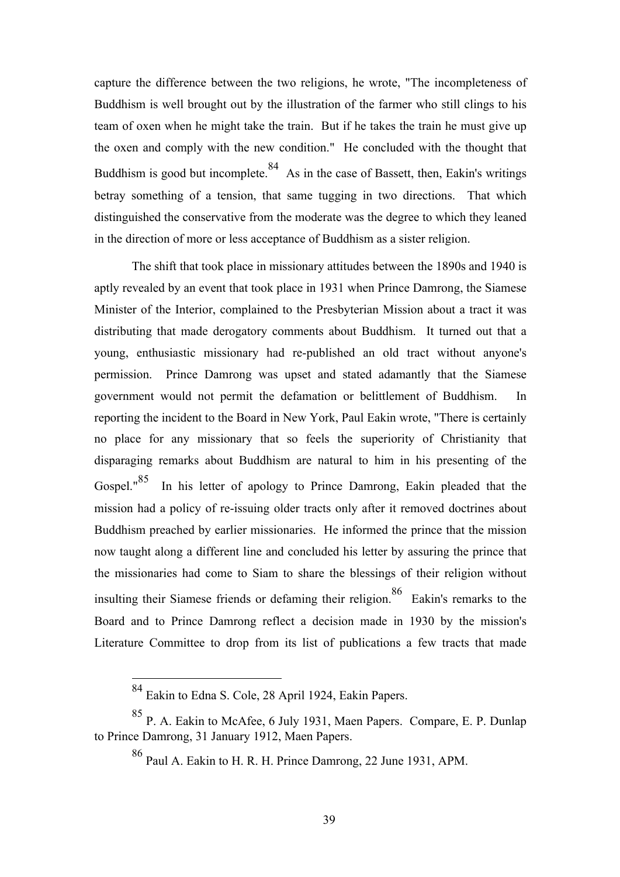capture the difference between the two religions, he wrote, "The incompleteness of Buddhism is well brought out by the illustration of the farmer who still clings to his team of oxen when he might take the train. But if he takes the train he must give up the oxen and comply with the new condition." He concluded with the thought that Buddhism is good but incomplete.<sup>84</sup> As in the case of Bassett, then, Eakin's writings betray something of a tension, that same tugging in two directions. That which distinguished the conservative from the moderate was the degree to which they leaned in the direction of more or less acceptance of Buddhism as a sister religion.

The shift that took place in missionary attitudes between the 1890s and 1940 is aptly revealed by an event that took place in 1931 when Prince Damrong, the Siamese Minister of the Interior, complained to the Presbyterian Mission about a tract it was distributing that made derogatory comments about Buddhism. It turned out that a young, enthusiastic missionary had re-published an old tract without anyone's permission. Prince Damrong was upset and stated adamantly that the Siamese government would not permit the defamation or belittlement of Buddhism. In reporting the incident to the Board in New York, Paul Eakin wrote, "There is certainly no place for any missionary that so feels the superiority of Christianity that disparaging remarks about Buddhism are natural to him in his presenting of the Gospel."<sup>85</sup> In his letter of apology to Prince Damrong, Eakin pleaded that the mission had a policy of re-issuing older tracts only after it removed doctrines about Buddhism preached by earlier missionaries. He informed the prince that the mission now taught along a different line and concluded his letter by assuring the prince that the missionaries had come to Siam to share the blessings of their religion without insulting their Siamese friends or defaming their religion.<sup>86</sup> Eakin's remarks to the Board and to Prince Damrong reflect a decision made in 1930 by the mission's Literature Committee to drop from its list of publications a few tracts that made

 <sup>84</sup> Eakin to Edna S. Cole, 28 April 1924, Eakin Papers.

<sup>85</sup> P. A. Eakin to McAfee, 6 July 1931, Maen Papers. Compare, E. P. Dunlap to Prince Damrong, 31 January 1912, Maen Papers.

<sup>86</sup> Paul A. Eakin to H. R. H. Prince Damrong, 22 June 1931, APM.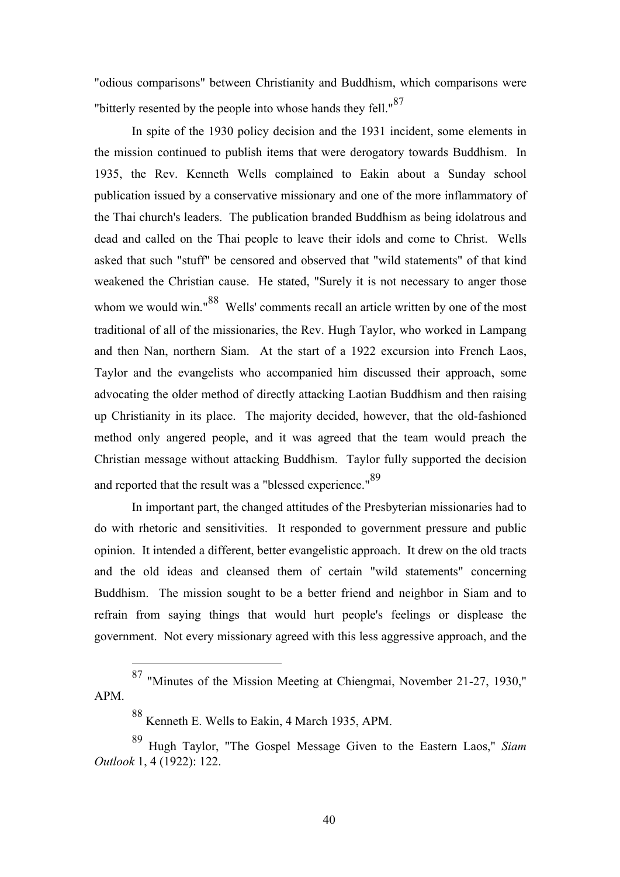"odious comparisons" between Christianity and Buddhism, which comparisons were "bitterly resented by the people into whose hands they fell."<sup>87</sup>

In spite of the 1930 policy decision and the 1931 incident, some elements in the mission continued to publish items that were derogatory towards Buddhism. In 1935, the Rev. Kenneth Wells complained to Eakin about a Sunday school publication issued by a conservative missionary and one of the more inflammatory of the Thai church's leaders. The publication branded Buddhism as being idolatrous and dead and called on the Thai people to leave their idols and come to Christ. Wells asked that such "stuff" be censored and observed that "wild statements" of that kind weakened the Christian cause. He stated, "Surely it is not necessary to anger those whom we would win."<sup>88</sup> Wells' comments recall an article written by one of the most traditional of all of the missionaries, the Rev. Hugh Taylor, who worked in Lampang and then Nan, northern Siam. At the start of a 1922 excursion into French Laos, Taylor and the evangelists who accompanied him discussed their approach, some advocating the older method of directly attacking Laotian Buddhism and then raising up Christianity in its place. The majority decided, however, that the old-fashioned method only angered people, and it was agreed that the team would preach the Christian message without attacking Buddhism. Taylor fully supported the decision and reported that the result was a "blessed experience."<sup>89</sup>

In important part, the changed attitudes of the Presbyterian missionaries had to do with rhetoric and sensitivities. It responded to government pressure and public opinion. It intended a different, better evangelistic approach. It drew on the old tracts and the old ideas and cleansed them of certain "wild statements" concerning Buddhism. The mission sought to be a better friend and neighbor in Siam and to refrain from saying things that would hurt people's feelings or displease the government. Not every missionary agreed with this less aggressive approach, and the

 <sup>87</sup> "Minutes of the Mission Meeting at Chiengmai, November 21-27, 1930," APM.

<sup>88</sup> Kenneth E. Wells to Eakin, 4 March 1935, APM.

<sup>89</sup> Hugh Taylor, "The Gospel Message Given to the Eastern Laos," *Siam Outlook* 1, 4 (1922): 122.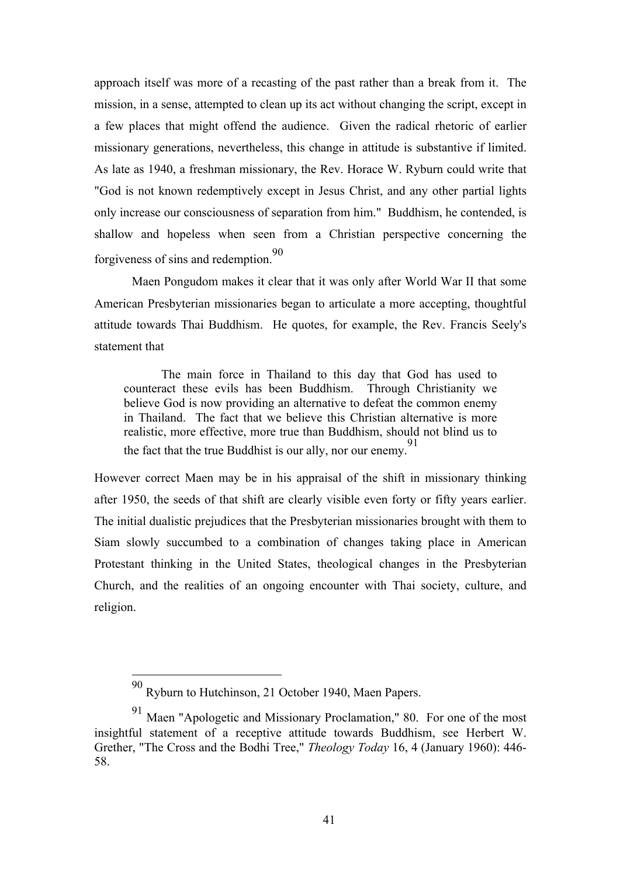approach itself was more of a recasting of the past rather than a break from it. The mission, in a sense, attempted to clean up its act without changing the script, except in a few places that might offend the audience. Given the radical rhetoric of earlier missionary generations, nevertheless, this change in attitude is substantive if limited. As late as 1940, a freshman missionary, the Rev. Horace W. Ryburn could write that "God is not known redemptively except in Jesus Christ, and any other partial lights only increase our consciousness of separation from him." Buddhism, he contended, is shallow and hopeless when seen from a Christian perspective concerning the forgiveness of sins and redemption.<sup>90</sup>

Maen Pongudom makes it clear that it was only after World War II that some American Presbyterian missionaries began to articulate a more accepting, thoughtful attitude towards Thai Buddhism. He quotes, for example, the Rev. Francis Seely's statement that

The main force in Thailand to this day that God has used to counteract these evils has been Buddhism. Through Christianity we believe God is now providing an alternative to defeat the common enemy in Thailand. The fact that we believe this Christian alternative is more realistic, more effective, more true than Buddhism, should not blind us to the fact that the true Buddhist is our ally, nor our enemy.<sup>91</sup>

However correct Maen may be in his appraisal of the shift in missionary thinking after 1950, the seeds of that shift are clearly visible even forty or fifty years earlier. The initial dualistic prejudices that the Presbyterian missionaries brought with them to Siam slowly succumbed to a combination of changes taking place in American Protestant thinking in the United States, theological changes in the Presbyterian Church, and the realities of an ongoing encounter with Thai society, culture, and religion.

 <sup>90</sup> Ryburn to Hutchinson, 21 October 1940, Maen Papers.

<sup>91</sup> Maen "Apologetic and Missionary Proclamation," 80. For one of the most insightful statement of a receptive attitude towards Buddhism, see Herbert W. Grether, "The Cross and the Bodhi Tree," *Theology Today* 16, 4 (January 1960): 446- 58.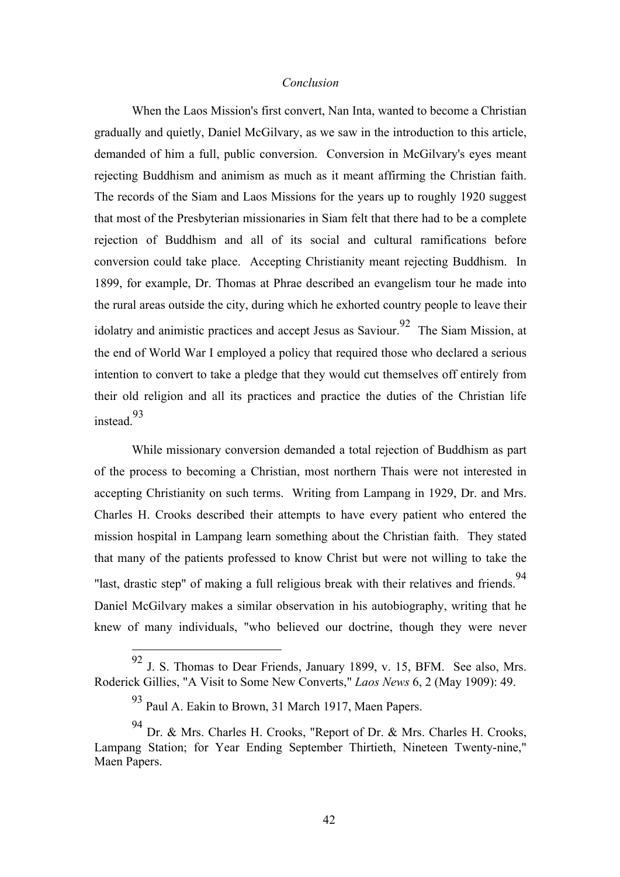# *Conclusion*

When the Laos Mission's first convert, Nan Inta, wanted to become a Christian gradually and quietly, Daniel McGilvary, as we saw in the introduction to this article, demanded of him a full, public conversion. Conversion in McGilvary's eyes meant rejecting Buddhism and animism as much as it meant affirming the Christian faith. The records of the Siam and Laos Missions for the years up to roughly 1920 suggest that most of the Presbyterian missionaries in Siam felt that there had to be a complete rejection of Buddhism and all of its social and cultural ramifications before conversion could take place. Accepting Christianity meant rejecting Buddhism. In 1899, for example, Dr. Thomas at Phrae described an evangelism tour he made into the rural areas outside the city, during which he exhorted country people to leave their idolatry and animistic practices and accept Jesus as Saviour.<sup>92</sup> The Siam Mission, at the end of World War I employed a policy that required those who declared a serious intention to convert to take a pledge that they would cut themselves off entirely from their old religion and all its practices and practice the duties of the Christian life instead.93

While missionary conversion demanded a total rejection of Buddhism as part of the process to becoming a Christian, most northern Thais were not interested in accepting Christianity on such terms. Writing from Lampang in 1929, Dr. and Mrs. Charles H. Crooks described their attempts to have every patient who entered the mission hospital in Lampang learn something about the Christian faith. They stated that many of the patients professed to know Christ but were not willing to take the "last, drastic step" of making a full religious break with their relatives and friends.<sup>94</sup> Daniel McGilvary makes a similar observation in his autobiography, writing that he knew of many individuals, "who believed our doctrine, though they were never

<sup>92</sup> J. S. Thomas to Dear Friends, January 1899, v. 15, BFM. See also, Mrs. Roderick Gillies, "A Visit to Some New Converts," *Laos News* 6, 2 (May 1909): 49.

<sup>93</sup> Paul A. Eakin to Brown, 31 March 1917, Maen Papers.

<sup>94</sup> Dr. & Mrs. Charles H. Crooks, "Report of Dr. & Mrs. Charles H. Crooks, Lampang Station; for Year Ending September Thirtieth, Nineteen Twenty-nine," Maen Papers.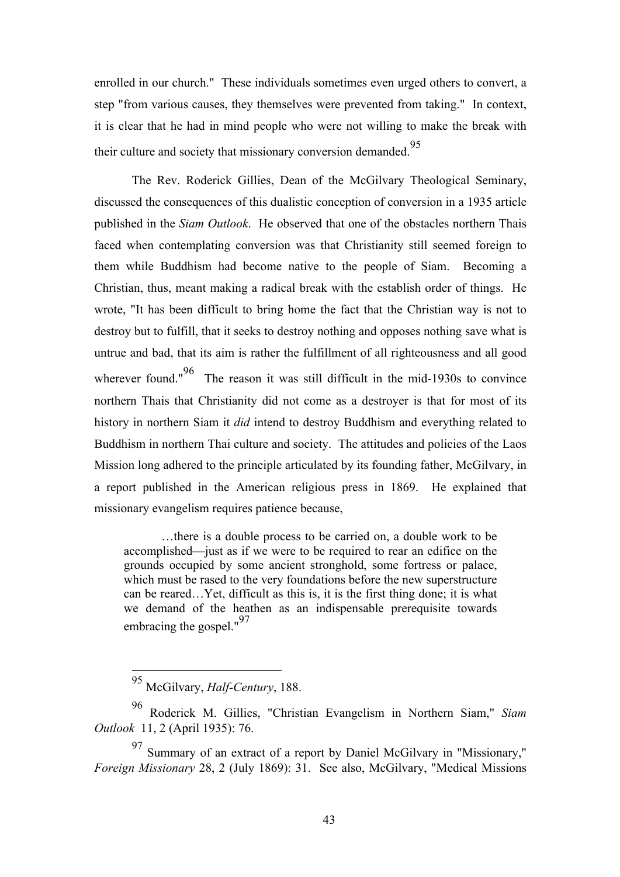enrolled in our church." These individuals sometimes even urged others to convert, a step "from various causes, they themselves were prevented from taking." In context, it is clear that he had in mind people who were not willing to make the break with their culture and society that missionary conversion demanded.<sup>95</sup>

The Rev. Roderick Gillies, Dean of the McGilvary Theological Seminary, discussed the consequences of this dualistic conception of conversion in a 1935 article published in the *Siam Outlook*. He observed that one of the obstacles northern Thais faced when contemplating conversion was that Christianity still seemed foreign to them while Buddhism had become native to the people of Siam. Becoming a Christian, thus, meant making a radical break with the establish order of things. He wrote, "It has been difficult to bring home the fact that the Christian way is not to destroy but to fulfill, that it seeks to destroy nothing and opposes nothing save what is untrue and bad, that its aim is rather the fulfillment of all righteousness and all good wherever found." $96$  The reason it was still difficult in the mid-1930s to convince northern Thais that Christianity did not come as a destroyer is that for most of its history in northern Siam it *did* intend to destroy Buddhism and everything related to Buddhism in northern Thai culture and society. The attitudes and policies of the Laos Mission long adhered to the principle articulated by its founding father, McGilvary, in a report published in the American religious press in 1869. He explained that missionary evangelism requires patience because,

…there is a double process to be carried on, a double work to be accomplished—just as if we were to be required to rear an edifice on the grounds occupied by some ancient stronghold, some fortress or palace, which must be rased to the very foundations before the new superstructure can be reared…Yet, difficult as this is, it is the first thing done; it is what we demand of the heathen as an indispensable prerequisite towards embracing the gospel."<sup>97</sup>

 <sup>95</sup> McGilvary, *Half-Century*, 188.

<sup>96</sup> Roderick M. Gillies, "Christian Evangelism in Northern Siam," *Siam Outlook* 11, 2 (April 1935): 76.

<sup>97</sup> Summary of an extract of a report by Daniel McGilvary in "Missionary," *Foreign Missionary* 28, 2 (July 1869): 31. See also, McGilvary, "Medical Missions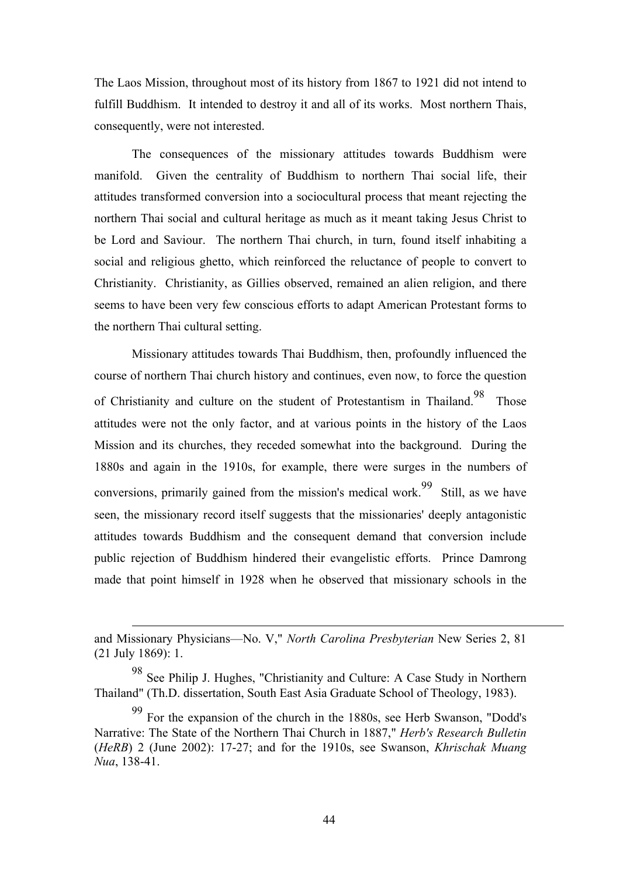The Laos Mission, throughout most of its history from 1867 to 1921 did not intend to fulfill Buddhism. It intended to destroy it and all of its works. Most northern Thais, consequently, were not interested.

The consequences of the missionary attitudes towards Buddhism were manifold. Given the centrality of Buddhism to northern Thai social life, their attitudes transformed conversion into a sociocultural process that meant rejecting the northern Thai social and cultural heritage as much as it meant taking Jesus Christ to be Lord and Saviour. The northern Thai church, in turn, found itself inhabiting a social and religious ghetto, which reinforced the reluctance of people to convert to Christianity. Christianity, as Gillies observed, remained an alien religion, and there seems to have been very few conscious efforts to adapt American Protestant forms to the northern Thai cultural setting.

Missionary attitudes towards Thai Buddhism, then, profoundly influenced the course of northern Thai church history and continues, even now, to force the question of Christianity and culture on the student of Protestantism in Thailand.<sup>98</sup> Those attitudes were not the only factor, and at various points in the history of the Laos Mission and its churches, they receded somewhat into the background. During the 1880s and again in the 1910s, for example, there were surges in the numbers of conversions, primarily gained from the mission's medical work.<sup>99</sup> Still, as we have seen, the missionary record itself suggests that the missionaries' deeply antagonistic attitudes towards Buddhism and the consequent demand that conversion include public rejection of Buddhism hindered their evangelistic efforts. Prince Damrong made that point himself in 1928 when he observed that missionary schools in the

 $\overline{a}$ 

and Missionary Physicians—No. V," *North Carolina Presbyterian* New Series 2, 81 (21 July 1869): 1.

<sup>98</sup> See Philip J. Hughes, "Christianity and Culture: A Case Study in Northern Thailand" (Th.D. dissertation, South East Asia Graduate School of Theology, 1983).

<sup>99</sup> For the expansion of the church in the 1880s, see Herb Swanson, "Dodd's Narrative: The State of the Northern Thai Church in 1887," *Herb's Research Bulletin* (*HeRB*) 2 (June 2002): 17-27; and for the 1910s, see Swanson, *Khrischak Muang Nua*, 138-41.